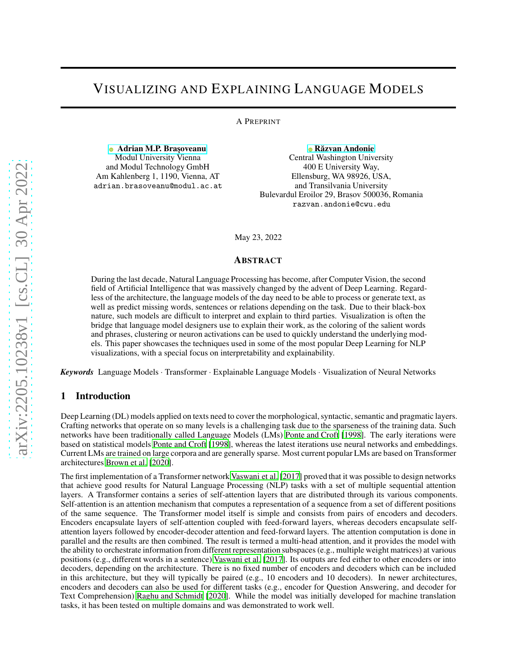# VISUALIZING AND EXPLAINING LANGUAGE MODELS

A PREPRINT

**• Adrian M.P. Braşoveanu** Modul University Vienna and Modul Technology GmbH Am Kahlenberg 1, 1190, Vienna, AT adrian.brasoveanu@modul.ac.at

**• Răzvan Andonie** Central Washington University 400 E University Way, Ellensburg, WA 98926, USA, and Transilvania University Bulevardul Eroilor 29, Brașov 500036, Romania razvan.andonie@cwu.edu

May 23, 2022

#### ABSTRACT

During the last decade, Natural Language Processing has become, after Computer Vision, the second field of Artificial Intelligence that was massively changed by the advent of Deep Learning. Regardless of the architecture, the language models of the day need to be able to process or generate text, as well as predict missing words, sentences or relations depending on the task. Due to their black-box nature, such models are difficult to interpret and explain to third parties. Visualization is often the bridge that language model designers use to explain their work, as the coloring of the salient words and phrases, clustering or neuron activations can be used to quickly understand the underlying models. This paper showcases the techniques used in some of the most popular Deep Learning for NLP visualizations, with a special focus on interpretability and explainability.

*Keywords* Language Models · Transformer · Explainable Language Models · Visualization of Neural Networks

#### 1 Introduction

Deep Learning (DL) models applied on texts need to cover the morphological, syntactic, semantic and pragmatic layers. Crafting networks that operate on so many levels is a challenging task due to the sparseness of the training data. Such networks have been traditionally called Language Models (LMs) Ponte and Croft [1998]. The early iterations were based on statistical models Ponte and Croft [1998], whereas the latest iterations use neural networks and embeddings. Current LMs are trained on large corpora and are generally sparse. Most current popular LMs are based on Transformer architectures Brown et al. [2020].

The first implementation of a Transformer network Vaswani et al. [2017] proved that it was possible to design networks that achieve good results for Natural Language Processing (NLP) tasks with a set of multiple sequential attention layers. A Transformer contains a series of self-attention layers that are distributed through its various components. Self-attention is an attention mechanism that computes a representation of a sequence from a set of different positions of the same sequence. The Transformer model itself is simple and consists from pairs of encoders and decoders. Encoders encapsulate layers of self-attention coupled with feed-forward layers, whereas decoders encapsulate selfattention layers followed by encoder-decoder attention and feed-forward layers. The attention computation is done in parallel and the results are then combined. The result is termed a multi-head attention, and it provides the model with the ability to orchestrate information from different representation subspaces (e.g., multiple weight matrices) at various positions (e.g., different words in a sentence) Vaswani et al. [2017]. Its outputs are fed either to other encoders or into decoders, depending on the architecture. There is no fixed number of encoders and decoders which can be included in this architecture, but they will typically be paired (e.g., 10 encoders and 10 decoders). In newer architectures, encoders and decoders can also be used for different tasks (e.g., encoder for Question Answering, and decoder for Text Comprehension) Raghu and Schmidt [2020]. While the model was initially developed for machine translation tasks, it has been tested on multiple domains and was demonstrated to work well.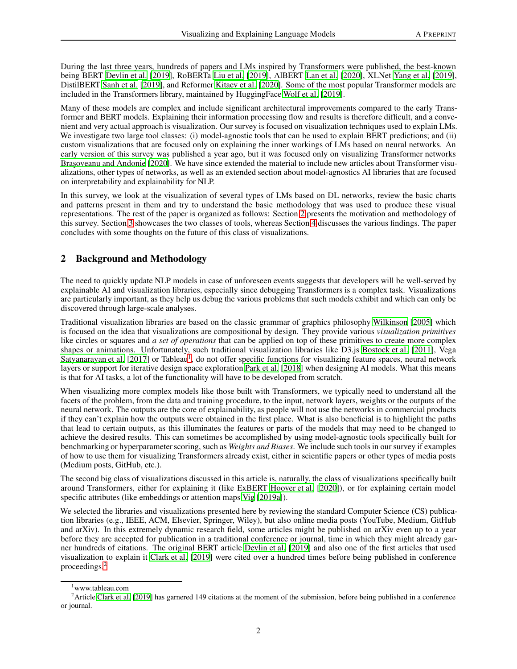During the last three years, hundreds of papers and LMs inspired by Transformers were published, the best-known being BERT Devlin et al. [2019], RoBERTa Liu et al. [2019], AlBERT Lan et al. [2020], XLNet Yang et al. [2019], DistilBERT Sanh et al. [2019], and Reformer Kitaev et al. [2020]. Some of the most popular Transformer models are included in the Transformers library, maintained by HuggingFace Wolf et al. [2019].

Many of these models are complex and include significant architectural improvements compared to the early Transformer and BERT models. Explaining their information processing flow and results is therefore difficult, and a convenient and very actual approach is visualization. Our survey is focused on visualization techniques used to explain LMs. We investigate two large tool classes: (i) model-agnostic tools that can be used to explain BERT predictions; and (ii) custom visualizations that are focused only on explaining the inner workings of LMs based on neural networks. An early version of this survey was published a year ago, but it was focused only on visualizing Transformer networks Brașoveanu and Andonie [2020]. We have since extended the material to include new articles about Transformer visualizations, other types of networks, as well as an extended section about model-agnostics AI libraries that are focused on interpretability and explainability for NLP.

In this survey, we look at the visualization of several types of LMs based on DL networks, review the basic charts and patterns present in them and try to understand the basic methodology that was used to produce these visual representations. The rest of the paper is organized as follows: Section [2](#page-1-0) presents the motivation and methodology of this survey. Section [3](#page-2-0) showcases the two classes of tools, whereas Section [4](#page-9-0) discusses the various findings. The paper concludes with some thoughts on the future of this class of visualizations.

# <span id="page-1-0"></span>2 Background and Methodology

The need to quickly update NLP models in case of unforeseen events suggests that developers will be well-served by explainable AI and visualization libraries, especially since debugging Transformers is a complex task. Visualizations are particularly important, as they help us debug the various problems that such models exhibit and which can only be discovered through large-scale analyses.

Traditional visualization libraries are based on the classic grammar of graphics philosophy Wilkinson [2005] which is focused on the idea that visualizations are compositional by design. They provide various *visualization primitives* like circles or squares and *a set of operations* that can be applied on top of these primitives to create more complex shapes or animations. Unfortunately, such traditional visualization libraries like D3.js Bostock et al. [2011], Vega Satyanarayan et al. [20[1](#page-1-1)7] or Tableau<sup>1</sup>, do not offer specific functions for visualizing feature spaces, neural network layers or support for iterative design space exploration Park et al. [2018] when designing AI models. What this means is that for AI tasks, a lot of the functionality will have to be developed from scratch.

When visualizing more complex models like those built with Transformers, we typically need to understand all the facets of the problem, from the data and training procedure, to the input, network layers, weights or the outputs of the neural network. The outputs are the core of explainability, as people will not use the networks in commercial products if they can't explain how the outputs were obtained in the first place. What is also beneficial is to highlight the paths that lead to certain outputs, as this illuminates the features or parts of the models that may need to be changed to achieve the desired results. This can sometimes be accomplished by using model-agnostic tools specifically built for benchmarking or hyperparameter scoring, such as *Weights and Biases*. We include such tools in our survey if examples of how to use them for visualizing Transformers already exist, either in scientific papers or other types of media posts (Medium posts, GitHub, etc.).

The second big class of visualizations discussed in this article is, naturally, the class of visualizations specifically built around Transformers, either for explaining it (like ExBERT Hoover et al. [2020]), or for explaining certain model specific attributes (like embeddings or attention maps Vig [2019a]).

We selected the libraries and visualizations presented here by reviewing the standard Computer Science (CS) publication libraries (e.g., IEEE, ACM, Elsevier, Springer, Wiley), but also online media posts (YouTube, Medium, GitHub and arXiv). In this extremely dynamic research field, some articles might be published on arXiv even up to a year before they are accepted for publication in a traditional conference or journal, time in which they might already garner hundreds of citations. The original BERT article Devlin et al. [2019] and also one of the first articles that used visualization to explain it Clark et al. [2019] were cited over a hundred times before being published in conference proceedings.[2](#page-1-2)

<span id="page-1-1"></span><sup>&</sup>lt;sup>1</sup>www.tableau.com

<span id="page-1-2"></span><sup>&</sup>lt;sup>2</sup> Article Clark et al. [2019] has garnered 149 citations at the moment of the submission, before being published in a conference or journal.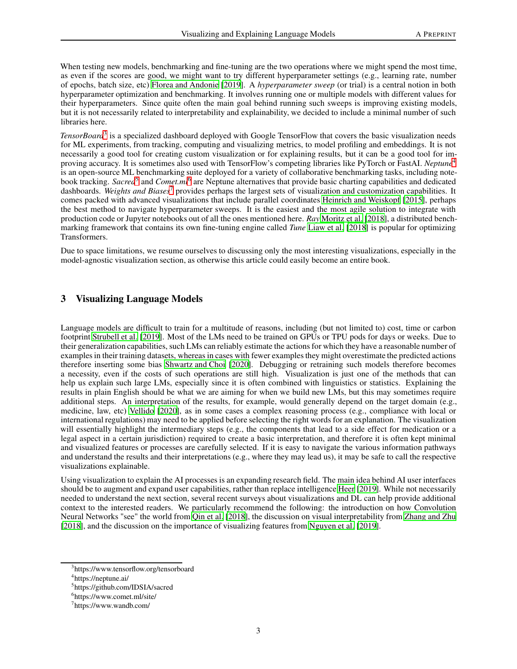When testing new models, benchmarking and fine-tuning are the two operations where we might spend the most time, as even if the scores are good, we might want to try different hyperparameter settings (e.g., learning rate, number of epochs, batch size, etc) Florea and Andonie [2019]. A *hyperparameter sweep* (or trial) is a central notion in both hyperparameter optimization and benchmarking. It involves running one or multiple models with different values for their hyperparameters. Since quite often the main goal behind running such sweeps is improving existing models, but it is not necessarily related to interpretability and explainability, we decided to include a minimal number of such libraries here.

*TensorBoard*[3](#page-2-1) is a specialized dashboard deployed with Google TensorFlow that covers the basic visualization needs for ML experiments, from tracking, computing and visualizing metrics, to model profiling and embeddings. It is not necessarily a good tool for creating custom visualization or for explaining results, but it can be a good tool for improving accuracy. It is sometimes also used with TensorFlow's competing libraries like PyTorch or FastAI. *Neptune*[4](#page-2-2) is an open-source ML benchmarking suite deployed for a variety of collaborative benchmarking tasks, including notebook tracking. *Sacred*<sup>[5](#page-2-3)</sup> and *Comet.ml*<sup>[6](#page-2-4)</sup> are Neptune alternatives that provide basic charting capabilities and dedicated dashboards. *Weights and Biases*[7](#page-2-5) provides perhaps the largest sets of visualization and customization capabilities. It comes packed with advanced visualizations that include parallel coordinates Heinrich and Weiskopf [2015], perhaps the best method to navigate hyperparameter sweeps. It is the easiest and the most agile solution to integrate with production code or Jupyter notebooks out of all the ones mentioned here. *Ray* Moritz et al. [2018], a distributed benchmarking framework that contains its own fine-tuning engine called *Tune* Liaw et al. [2018] is popular for optimizing Transformers.

Due to space limitations, we resume ourselves to discussing only the most interesting visualizations, especially in the model-agnostic visualization section, as otherwise this article could easily become an entire book.

# <span id="page-2-0"></span>3 Visualizing Language Models

Language models are difficult to train for a multitude of reasons, including (but not limited to) cost, time or carbon footprint Strubell et al. [2019]. Most of the LMs need to be trained on GPUs or TPU pods for days or weeks. Due to their generalization capabilities, such LMs can reliably estimate the actions for which they have a reasonable number of examples in their training datasets, whereas in cases with fewer examples they might overestimate the predicted actions therefore inserting some bias Shwartz and Choi [2020]. Debugging or retraining such models therefore becomes a necessity, even if the costs of such operations are still high. Visualization is just one of the methods that can help us explain such large LMs, especially since it is often combined with linguistics or statistics. Explaining the results in plain English should be what we are aiming for when we build new LMs, but this may sometimes require additional steps. An interpretation of the results, for example, would generally depend on the target domain (e.g., medicine, law, etc) Vellido [2020], as in some cases a complex reasoning process (e.g., compliance with local or international regulations) may need to be applied before selecting the right words for an explanation. The visualization will essentially highlight the intermediary steps (e.g., the components that lead to a side effect for medication or a legal aspect in a certain jurisdiction) required to create a basic interpretation, and therefore it is often kept minimal and visualized features or processes are carefully selected. If it is easy to navigate the various information pathways and understand the results and their interpretations (e.g., where they may lead us), it may be safe to call the respective visualizations explainable.

Using visualization to explain the AI processes is an expanding research field. The main idea behind AI user interfaces should be to augment and expand user capabilities, rather than replace intelligence Heer [2019]. While not necessarily needed to understand the next section, several recent surveys about visualizations and DL can help provide additional context to the interested readers. We particularly recommend the following: the introduction on how Convolution Neural Networks "see" the world from Qin et al. [2018], the discussion on visual interpretability from Zhang and Zhu [2018], and the discussion on the importance of visualizing features from Nguyen et al. [2019].

<sup>3</sup> https://www.tensorflow.org/tensorboard

<span id="page-2-1"></span><sup>4</sup> https://neptune.ai/

<span id="page-2-2"></span><sup>5</sup> https://github.com/IDSIA/sacred

<span id="page-2-3"></span><sup>6</sup> https://www.comet.ml/site/

<span id="page-2-5"></span><span id="page-2-4"></span><sup>7</sup> https://www.wandb.com/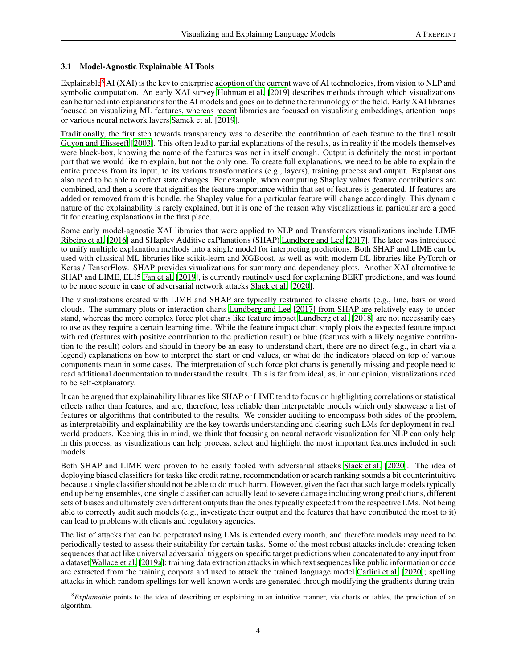#### 3.1 Model-Agnostic Explainable AI Tools

Explainable<sup>[8](#page-3-0)</sup> AI (XAI) is the key to enterprise adoption of the current wave of AI technologies, from vision to NLP and symbolic computation. An early XAI survey Hohman et al. [2019] describes methods through which visualizations can be turned into explanations for the AI models and goes on to define the terminology of the field. Early XAI libraries focused on visualizing ML features, whereas recent libraries are focused on visualizing embeddings, attention maps or various neural network layers Samek et al. [2019].

Traditionally, the first step towards transparency was to describe the contribution of each feature to the final result Guyon and Elisseeff [2003]. This often lead to partial explanations of the results, as in reality if the models themselves were black-box, knowing the name of the features was not in itself enough. Output is definitely the most important part that we would like to explain, but not the only one. To create full explanations, we need to be able to explain the entire process from its input, to its various transformations (e.g., layers), training process and output. Explanations also need to be able to reflect state changes. For example, when computing Shapley values feature contributions are combined, and then a score that signifies the feature importance within that set of features is generated. If features are added or removed from this bundle, the Shapley value for a particular feature will change accordingly. This dynamic nature of the explainability is rarely explained, but it is one of the reason why visualizations in particular are a good fit for creating explanations in the first place.

Some early model-agnostic XAI libraries that were applied to NLP and Transformers visualizations include LIME Ribeiro et al. [2016] and SHapley Additive exPlanations (SHAP) Lundberg and Lee [2017]. The later was introduced to unify multiple explanation methods into a single model for interpreting predictions. Both SHAP and LIME can be used with classical ML libraries like scikit-learn and XGBoost, as well as with modern DL libraries like PyTorch or Keras / TensorFlow. SHAP provides visualizations for summary and dependency plots. Another XAI alternative to SHAP and LIME, ELI5 Fan et al. [2019], is currently routinely used for explaining BERT predictions, and was found to be more secure in case of adversarial network attacks Slack et al. [2020].

The visualizations created with LIME and SHAP are typically restrained to classic charts (e.g., line, bars or word clouds. The summary plots or interaction charts Lundberg and Lee [2017] from SHAP are relatively easy to understand, whereas the more complex force plot charts like feature impact [Lundberg et al.](#page-14-0) [\[2018\]](#page-14-0) are not necessarily easy to use as they require a certain learning time. While the feature impact chart simply plots the expected feature impact with red (features with positive contribution to the prediction result) or blue (features with a likely negative contribution to the result) colors and should in theory be an easy-to-understand chart, there are no direct (e.g., in chart via a legend) explanations on how to interpret the start or end values, or what do the indicators placed on top of various components mean in some cases. The interpretation of such force plot charts is generally missing and people need to read additional documentation to understand the results. This is far from ideal, as, in our opinion, visualizations need to be self-explanatory.

It can be argued that explainability libraries like SHAP or LIME tend to focus on highlighting correlations or statistical effects rather than features, and are, therefore, less reliable than interpretable models which only showcase a list of features or algorithms that contributed to the results. We consider auditing to encompass both sides of the problem, as interpretability and explainability are the key towards understanding and clearing such LMs for deployment in realworld products. Keeping this in mind, we think that focusing on neural network visualization for NLP can only help in this process, as visualizations can help process, select and highlight the most important features included in such models.

Both SHAP and LIME were proven to be easily fooled with adversarial attacks Slack et al. [2020]. The idea of deploying biased classifiers for tasks like credit rating, recommendation or search ranking sounds a bit counterintuitive because a single classifier should not be able to do much harm. However, given the fact that such large models typically end up being ensembles, one single classifier can actually lead to severe damage including wrong predictions, different sets of biases and ultimately even different outputs than the ones typically expected from the respective LMs. Not being able to correctly audit such models (e.g., investigate their output and the features that have contributed the most to it) can lead to problems with clients and regulatory agencies.

The list of attacks that can be perpetrated using LMs is extended every month, and therefore models may need to be periodically tested to assess their suitability for certain tasks. Some of the most robust attacks include: creating token sequences that act like universal adversarial triggers on specific target predictions when concatenated to any input from a dataset Wallace et al. [2019a]; training data extraction attacks in which text sequences like public information or code are extracted from the training corpora and used to attack the trained language model Carlini et al. [2020]; spelling attacks in which random spellings for well-known words are generated through modifying the gradients during train-

<span id="page-3-0"></span><sup>8</sup>*Explainable* points to the idea of describing or explaining in an intuitive manner, via charts or tables, the prediction of an algorithm.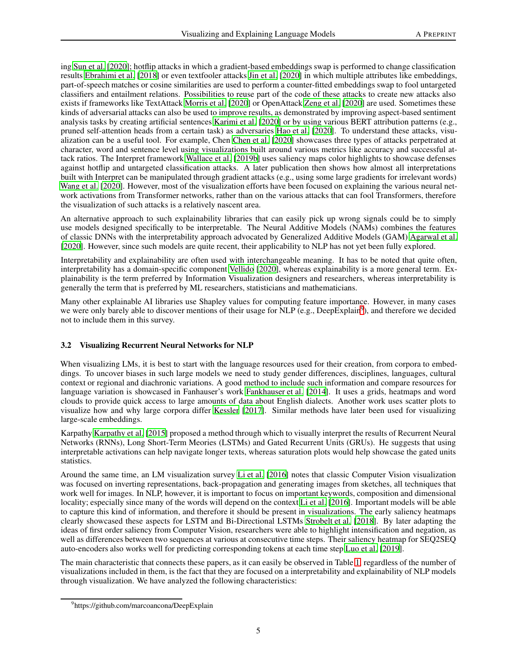ing Sun et al. [2020]; hotflip attacks in which a gradient-based embeddings swap is performed to change classification results Ebrahimi et al. [2018] or even textfooler attacks Jin et al. [2020] in which multiple attributes like embeddings, part-of-speech matches or cosine similarities are used to perform a counter-fitted embeddings swap to fool untargeted classifiers and entailment relations. Possibilities to reuse part of the code of these attacks to create new attacks also exists if frameworks like TextAttack Morris et al. [2020] or OpenAttack Zeng et al. [2020] are used. Sometimes these kinds of adversarial attacks can also be used to improve results, as demonstrated by improving aspect-based sentiment analysis tasks by creating artificial sentences Karimi et al. [2020] or by using various BERT attribution patterns (e.g., pruned self-attention heads from a certain task) as adversaries Hao et al. [2020]. To understand these attacks, visualization can be a useful tool. For example, Chen Chen et al. [2020] showcases three types of attacks perpetrated at character, word and sentence level using visualizations built around various metrics like accuracy and successful attack ratios. The Interpret framework Wallace et al. [2019b] uses saliency maps color highlights to showcase defenses against hotflip and untargeted classification attacks. A later publication then shows how almost all interpretations built with Interpret can be manipulated through gradient attacks (e.g., using some large gradients for irrelevant words) Wang et al. [2020]. However, most of the visualization efforts have been focused on explaining the various neural network activations from Transformer networks, rather than on the various attacks that can fool Transformers, therefore the visualization of such attacks is a relatively nascent area.

An alternative approach to such explainability libraries that can easily pick up wrong signals could be to simply use models designed specifically to be interpretable. The Neural Additive Models (NAMs) combines the features of classic DNNs with the interpretability approach advocated by Generalized Additive Models (GAM) Agarwal et al. [2020]. However, since such models are quite recent, their applicability to NLP has not yet been fully explored.

Interpretability and explainability are often used with interchangeable meaning. It has to be noted that quite often, interpretability has a domain-specific component Vellido [2020], whereas explainability is a more general term. Explainability is the term preferred by Information Visualization designers and researchers, whereas interpretability is generally the term that is preferred by ML researchers, statisticians and mathematicians.

Many other explainable AI libraries use Shapley values for computing feature importance. However, in many cases we were only barely able to discover mentions of their usage for  $\overline{NLP}$  (e.g., DeepExplain<sup>[9](#page-4-0)</sup>), and therefore we decided not to include them in this survey.

# <span id="page-4-1"></span>3.2 Visualizing Recurrent Neural Networks for NLP

When visualizing LMs, it is best to start with the language resources used for their creation, from corpora to embeddings. To uncover biases in such large models we need to study gender differences, disciplines, languages, cultural context or regional and diachronic variations. A good method to include such information and compare resources for language variation is showcased in Fanhauser's work Fankhauser et al. [2014]. It uses a grids, heatmaps and word clouds to provide quick access to large amounts of data about English dialects. Another work uses scatter plots to visualize how and why large corpora differ Kessler [2017]. Similar methods have later been used for visualizing large-scale embeddings.

Karpathy Karpathy et al. [2015] proposed a method through which to visually interpret the results of Recurrent Neural Networks (RNNs), Long Short-Term Meories (LSTMs) and Gated Recurrent Units (GRUs). He suggests that using interpretable activations can help navigate longer texts, whereas saturation plots would help showcase the gated units statistics.

Around the same time, an LM visualization survey Li et al. [2016] notes that classic Computer Vision visualization was focused on inverting representations, back-propagation and generating images from sketches, all techniques that work well for images. In NLP, however, it is important to focus on important keywords, composition and dimensional locality; especially since many of the words will depend on the context Li et al. [2016]. Important models will be able to capture this kind of information, and therefore it should be present in visualizations. The early saliency heatmaps clearly showcased these aspects for LSTM and Bi-Directional LSTMs Strobelt et al. [2018]. By later adapting the ideas of first order saliency from Computer Vision, researchers were able to highlight intensification and negation, as well as differences between two sequences at various at consecutive time steps. Their saliency heatmap for SEQ2SEQ auto-encoders also works well for predicting corresponding tokens at each time step Luo et al. [2019].

The main characteristic that connects these papers, as it can easily be observed in Table [1,](#page-5-0) regardless of the number of visualizations included in them, is the fact that they are focused on a interpretability and explainability of NLP models through visualization. We have analyzed the following characteristics:

<span id="page-4-0"></span><sup>&</sup>lt;sup>9</sup>https://github.com/marcoancona/DeepExplain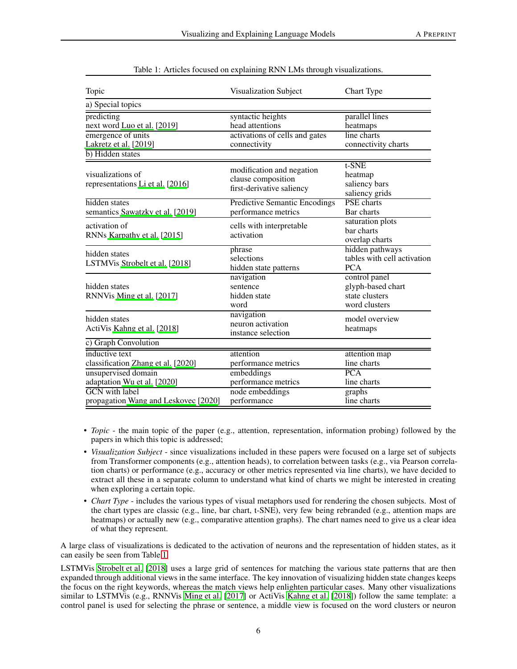| Topic                                                                                                        | Visualization Subject                                                                  | Chart Type                                                            |  |  |
|--------------------------------------------------------------------------------------------------------------|----------------------------------------------------------------------------------------|-----------------------------------------------------------------------|--|--|
| a) Special topics                                                                                            |                                                                                        |                                                                       |  |  |
| predicting<br>next word Luo et al. [2019]<br>emergence of units<br>Lakretz et al. [2019]<br>b) Hidden states | syntactic heights<br>head attentions<br>activations of cells and gates<br>connectivity | parallel lines<br>heatmaps<br>line charts<br>connectivity charts      |  |  |
| visualizations of<br>representations Li et al. [2016]                                                        | modification and negation<br>clause composition<br>first-derivative saliency           | t-SNE<br>heatmap<br>saliency bars<br>saliency grids                   |  |  |
| hidden states<br>semantics Sawatzky et al. [2019]                                                            | <b>Predictive Semantic Encodings</b><br>performance metrics                            | <b>PSE</b> charts<br>Bar charts                                       |  |  |
| activation of<br>RNNs Karpathy et al. [2015]                                                                 | cells with interpretable<br>activation                                                 | saturation plots<br>bar charts<br>overlap charts                      |  |  |
| hidden states<br>LSTMVis Strobelt et al. [2018]                                                              | phrase<br>selections<br>hidden state patterns                                          | hidden pathways<br>tables with cell activation<br><b>PCA</b>          |  |  |
| hidden states<br>RNNVis Ming et al. [2017]                                                                   | navigation<br>sentence<br>hidden state<br>word                                         | control panel<br>glyph-based chart<br>state clusters<br>word clusters |  |  |
| hidden states<br>ActiVis Kahng et al. [2018]                                                                 | navigation<br>neuron activation<br>instance selection                                  | model overview<br>heatmaps                                            |  |  |
| c) Graph Convolution                                                                                         |                                                                                        |                                                                       |  |  |
| inductive text<br>classification Zhang et al. [2020]<br>unsupervised domain                                  | attention<br>performance metrics<br>embeddings                                         | attention map<br>line charts<br>PCA                                   |  |  |
| adaptation Wu et al. [2020]<br><b>GCN</b> with label<br>propagation Wang and Leskovec [2020]                 | performance metrics<br>node embeddings<br>performance                                  | line charts<br>graphs<br>line charts                                  |  |  |

<span id="page-5-0"></span>

| Table 1: Articles focused on explaining RNN LMs through visualizations. |  |  |
|-------------------------------------------------------------------------|--|--|
|                                                                         |  |  |

- *Topic* the main topic of the paper (e.g., attention, representation, information probing) followed by the papers in which this topic is addressed;
- *Visualization Subject* since visualizations included in these papers were focused on a large set of subjects from Transformer components (e.g., attention heads), to correlation between tasks (e.g., via Pearson correlation charts) or performance (e.g., accuracy or other metrics represented via line charts), we have decided to extract all these in a separate column to understand what kind of charts we might be interested in creating when exploring a certain topic.
- *Chart Type* includes the various types of visual metaphors used for rendering the chosen subjects. Most of the chart types are classic (e.g., line, bar chart, t-SNE), very few being rebranded (e.g., attention maps are heatmaps) or actually new (e.g., comparative attention graphs). The chart names need to give us a clear idea of what they represent.

A large class of visualizations is dedicated to the activation of neurons and the representation of hidden states, as it can easily be seen from Table [1.](#page-5-0)

LSTMVis Strobelt et al. [2018] uses a large grid of sentences for matching the various state patterns that are then expanded through additional views in the same interface. The key innovation of visualizing hidden state changes keeps the focus on the right keywords, whereas the match views help enlighten particular cases. Many other visualizations similar to LSTMVis (e.g., RNNVis Ming et al. [2017] or ActiVis Kahng et al. [2018]) follow the same template: a control panel is used for selecting the phrase or sentence, a middle view is focused on the word clusters or neuron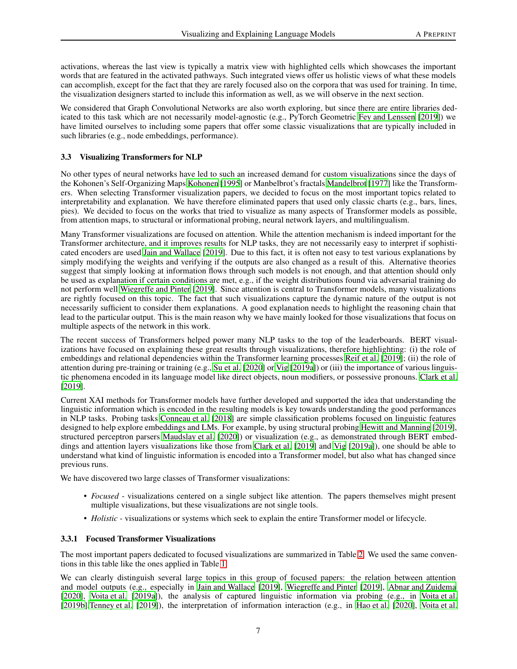activations, whereas the last view is typically a matrix view with highlighted cells which showcases the important words that are featured in the activated pathways. Such integrated views offer us holistic views of what these models can accomplish, except for the fact that they are rarely focused also on the corpora that was used for training. In time, the visualization designers started to include this information as well, as we will observe in the next section.

We considered that Graph Convolutional Networks are also worth exploring, but since there are entire libraries dedicated to this task which are not necessarily model-agnostic (e.g., PyTorch Geometric Fey and Lenssen [2019]) we have limited ourselves to including some papers that offer some classic visualizations that are typically included in such libraries (e.g., node embeddings, performance).

#### 3.3 Visualizing Transformers for NLP

No other types of neural networks have led to such an increased demand for custom visualizations since the days of the Kohonen's Self-Organizing Maps Kohonen [1995] or Manbelbrot's fractals Mandelbrot [1977] like the Transformers. When selecting Transformer visualization papers, we decided to focus on the most important topics related to interpretability and explanation. We have therefore eliminated papers that used only classic charts (e.g., bars, lines, pies). We decided to focus on the works that tried to visualize as many aspects of Transformer models as possible, from attention maps, to structural or informational probing, neural network layers, and multilingualism.

Many Transformer visualizations are focused on attention. While the attention mechanism is indeed important for the Transformer architecture, and it improves results for NLP tasks, they are not necessarily easy to interpret if sophisticated encoders are used Jain and Wallace [2019]. Due to this fact, it is often not easy to test various explanations by simply modifying the weights and verifying if the outputs are also changed as a result of this. Alternative theories suggest that simply looking at information flows through such models is not enough, and that attention should only be used as explanation if certain conditions are met, e.g., if the weight distributions found via adversarial training do not perform well Wiegreffe and Pinter [2019]. Since attention is central to Transformer models, many visualizations are rightly focused on this topic. The fact that such visualizations capture the dynamic nature of the output is not necessarily sufficient to consider them explanations. A good explanation needs to highlight the reasoning chain that lead to the particular output. This is the main reason why we have mainly looked for those visualizations that focus on multiple aspects of the network in this work.

The recent success of Transformers helped power many NLP tasks to the top of the leaderboards. BERT visualizations have focused on explaining these great results through visualizations, therefore highlighting: (i) the role of embeddings and relational dependencies within the Transformer learning processes Reif et al. [2019]; (ii) the role of attention during pre-training or training (e.g., Su et al. [2020] or Vig [2019a]) or (iii) the importance of various linguistic phenomena encoded in its language model like direct objects, noun modifiers, or possessive pronouns. Clark et al. [2019].

Current XAI methods for Transformer models have further developed and supported the idea that understanding the linguistic information which is encoded in the resulting models is key towards understanding the good performances in NLP tasks. Probing tasks Conneau et al. [2018] are simple classification problems focused on linguistic features designed to help explore embeddings and LMs. For example, by using structural probing Hewitt and Manning [2019], structured perceptron parsers Maudslay et al. [2020]) or visualization (e.g., as demonstrated through BERT embeddings and attention layers visualizations like those from Clark et al. [2019] and Vig [2019a]), one should be able to understand what kind of linguistic information is encoded into a Transformer model, but also what has changed since previous runs.

We have discovered two large classes of Transformer visualizations:

- *Focused* visualizations centered on a single subject like attention. The papers themselves might present multiple visualizations, but these visualizations are not single tools.
- *Holistic* visualizations or systems which seek to explain the entire Transformer model or lifecycle.

#### 3.3.1 Focused Transformer Visualizations

The most important papers dedicated to focused visualizations are summarized in Table [2.](#page-7-0) We used the same conventions in this table like the ones applied in Table [1.](#page-5-0)

We can clearly distinguish several large topics in this group of focused papers: the relation between attention and model outputs (e.g., especially in Jain and Wallace [2019], Wiegreffe and Pinter [2019], Abnar and Zuidema [2020], Voita et al. [2019a]), the analysis of captured linguistic information via probing (e.g., in Voita et al. [2019b],Tenney et al. [2019]), the interpretation of information interaction (e.g., in Hao et al. [2020], Voita et al.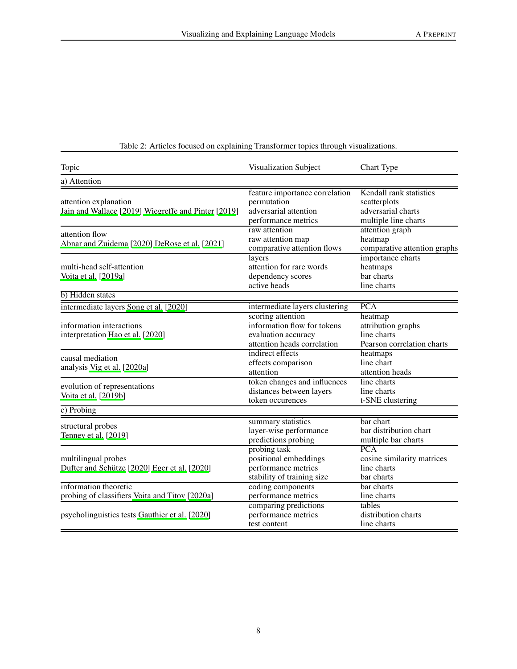| Topic                                                                        | Visualization Subject                                                                                        | Chart Type                                                                            |  |  |
|------------------------------------------------------------------------------|--------------------------------------------------------------------------------------------------------------|---------------------------------------------------------------------------------------|--|--|
| a) Attention                                                                 |                                                                                                              |                                                                                       |  |  |
| attention explanation<br>Jain and Wallace [2019] Wiegreffe and Pinter [2019] | feature importance correlation<br>permutation<br>adversarial attention<br>performance metrics                | Kendall rank statistics<br>scatterplots<br>adversarial charts<br>multiple line charts |  |  |
| attention flow<br>Abnar and Zuidema [2020] DeRose et al. [2021]              | raw attention<br>raw attention map<br>comparative attention flows                                            | attention graph<br>heatmap<br>comparative attention graphs                            |  |  |
| multi-head self-attention<br>Voita et al. [2019a]                            | layers<br>attention for rare words<br>dependency scores<br>active heads                                      | importance charts<br>heatmaps<br>bar charts<br>line charts                            |  |  |
| b) Hidden states                                                             |                                                                                                              |                                                                                       |  |  |
| intermediate layers Song et al. [2020]                                       | intermediate layers clustering                                                                               | <b>PCA</b>                                                                            |  |  |
| information interactions<br>interpretation Hao et al. [2020]                 | scoring attention<br>information flow for tokens<br>evaluation accuracy<br>attention heads correlation       | heatmap<br>attribution graphs<br>line charts<br>Pearson correlation charts            |  |  |
| causal mediation<br>analysis Vig et al. [2020a]                              | indirect effects<br>effects comparison<br>attention                                                          | heatmaps<br>line chart<br>attention heads                                             |  |  |
| evolution of representations<br>Voita et al. [2019b]                         | token changes and influences<br>distances between layers<br>token occurences                                 | line charts<br>line charts<br>t-SNE clustering                                        |  |  |
| c) Probing                                                                   |                                                                                                              |                                                                                       |  |  |
| structural probes<br>Tenney et al. [2019]                                    | summary statistics<br>layer-wise performance<br>predictions probing                                          | bar chart<br>bar distribution chart<br>multiple bar charts                            |  |  |
| multilingual probes<br>Dufter and Schütze [2020] Eger et al. [2020]          | probing task<br>positional embeddings<br>performance metrics<br>stability of training size                   | PCA<br>cosine similarity matrices<br>line charts<br>bar charts                        |  |  |
| information theoretic<br>probing of classifiers Voita and Titov [2020a]      | coding components<br>performance metrics                                                                     | bar charts<br>line charts                                                             |  |  |
| psycholinguistics tests Gauthier et al. [2020]                               | comparing predictions<br>tables<br>performance metrics<br>distribution charts<br>line charts<br>test content |                                                                                       |  |  |

# <span id="page-7-0"></span>Table 2: Articles focused on explaining Transformer topics through visualizations.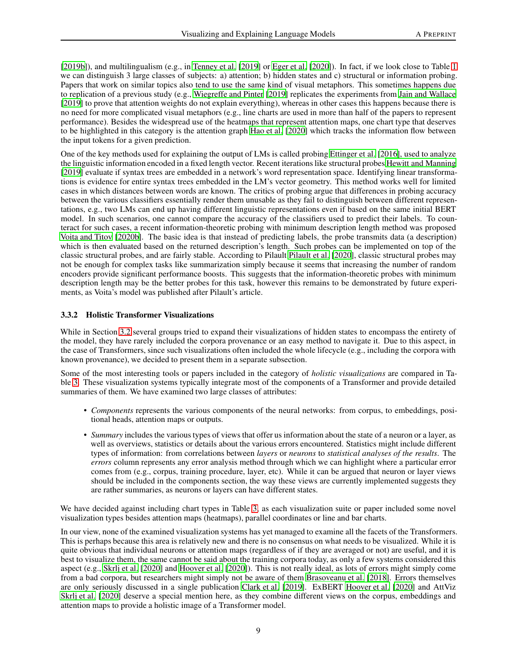[2019b]), and multilingualism (e.g., in Tenney et al. [2019] or Eger et al. [2020]). In fact, if we look close to Table [1](#page-5-0) we can distinguish 3 large classes of subjects: a) attention; b) hidden states and c) structural or information probing. Papers that work on similar topics also tend to use the same kind of visual metaphors. This sometimes happens due to replication of a previous study (e.g., Wiegreffe and Pinter [2019] replicates the experiments from Jain and Wallace [2019] to prove that attention weights do not explain everything), whereas in other cases this happens because there is no need for more complicated visual metaphors (e.g., line charts are used in more than half of the papers to represent performance). Besides the widespread use of the heatmaps that represent attention maps, one chart type that deserves to be highlighted in this category is the attention graph Hao et al. [2020] which tracks the information flow between the input tokens for a given prediction.

One of the key methods used for explaining the output of LMs is called probing Ettinger et al. [2016], used to analyze the linguistic information encoded in a fixed length vector. Recent iterations like structural probes Hewitt and Manning [2019] evaluate if syntax trees are embedded in a network's word representation space. Identifying linear transformations is evidence for entire syntax trees embedded in the LM's vector geometry. This method works well for limited cases in which distances between words are known. The critics of probing argue that differences in probing accuracy between the various classifiers essentially render them unusable as they fail to distinguish between different representations, e.g., two LMs can end up having different linguistic representations even if based on the same initial BERT model. In such scenarios, one cannot compare the accuracy of the classifiers used to predict their labels. To counteract for such cases, a recent information-theoretic probing with minimum description length method was proposed Voita and Titov [2020b]. The basic idea is that instead of predicting labels, the probe transmits data (a description) which is then evaluated based on the returned description's length. Such probes can be implemented on top of the classic structural probes, and are fairly stable. According to Pilault Pilault et al. [2020], classic structural probes may not be enough for complex tasks like summarization simply because it seems that increasing the number of random encoders provide significant performance boosts. This suggests that the information-theoretic probes with minimum description length may be the better probes for this task, however this remains to be demonstrated by future experiments, as Voita's model was published after Pilault's article.

#### 3.3.2 Holistic Transformer Visualizations

While in Section [3.2](#page-4-1) several groups tried to expand their visualizations of hidden states to encompass the entirety of the model, they have rarely included the corpora provenance or an easy method to navigate it. Due to this aspect, in the case of Transformers, since such visualizations often included the whole lifecycle (e.g., including the corpora with known provenance), we decided to present them in a separate subsection.

Some of the most interesting tools or papers included in the category of *holistic visualizations* are compared in Table [3.](#page-9-1) These visualization systems typically integrate most of the components of a Transformer and provide detailed summaries of them. We have examined two large classes of attributes:

- *Components* represents the various components of the neural networks: from corpus, to embeddings, positional heads, attention maps or outputs.
- *Summary* includes the various types of views that offer us information about the state of a neuron or a layer, as well as overviews, statistics or details about the various errors encountered. Statistics might include different types of information: from correlations between *layers* or *neurons* to *statistical analyses of the results*. The *errors* column represents any error analysis method through which we can highlight where a particular error comes from (e.g., corpus, training procedure, layer, etc). While it can be argued that neuron or layer views should be included in the components section, the way these views are currently implemented suggests they are rather summaries, as neurons or layers can have different states.

We have decided against including chart types in Table [3,](#page-9-1) as each visualization suite or paper included some novel visualization types besides attention maps (heatmaps), parallel coordinates or line and bar charts.

In our view, none of the examined visualization systems has yet managed to examine all the facets of the Transformers. This is perhaps because this area is relatively new and there is no consensus on what needs to be visualized. While it is quite obvious that individual neurons or attention maps (regardless of if they are averaged or not) are useful, and it is best to visualize them, the same cannot be said about the training corpora today, as only a few systems considered this aspect (e.g., Skrlj et al. [2020] and Hoover et al. [2020]). This is not really ideal, as lots of errors might simply come from a bad corpora, but researchers might simply not be aware of them Brasoveanu et al. [2018]. Errors themselves are only seriously discussed in a single publication Clark et al. [2019]. ExBERT Hoover et al. [2020] and AttViz Skrlj et al. [2020] deserve a special mention here, as they combine different views on the corpus, embeddings and attention maps to provide a holistic image of a Transformer model.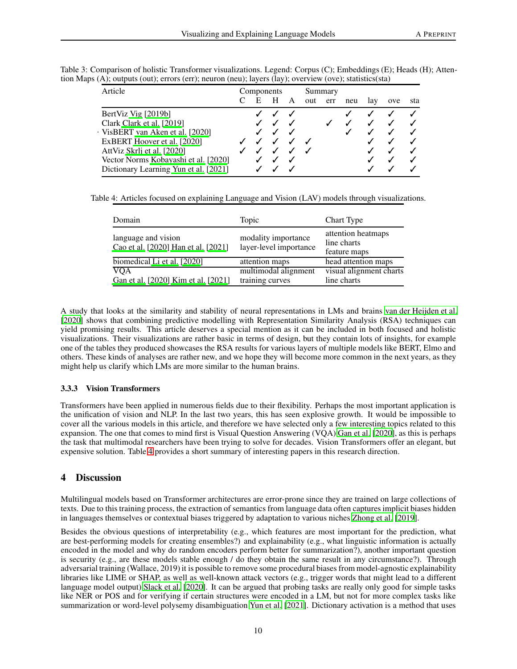<span id="page-9-1"></span>

| Article                               | Components |   |   |     | Summary |     |     |     |     |
|---------------------------------------|------------|---|---|-----|---------|-----|-----|-----|-----|
|                                       |            | Н | A | out | err     | neu | lav | ove | sta |
| BertViz Vig [2019b]                   |            |   |   |     |         |     |     |     |     |
| Clark Clark et al. [2019]             |            |   |   |     |         |     |     |     |     |
| VisBERT van Aken et al. [2020]        |            |   |   |     |         |     |     |     |     |
| ExBERT Hoover et al. [2020]           |            |   | ┙ |     |         |     |     |     |     |
| AttViz Skrlj et al. [2020]            |            |   |   |     |         |     |     |     |     |
| Vector Norms Kobayashi et al. [2020]  |            |   |   |     |         |     |     |     |     |
| Dictionary Learning Yun et al. [2021] |            |   |   |     |         |     |     |     |     |
|                                       |            |   |   |     |         |     |     |     |     |

Table 3: Comparison of holistic Transformer visualizations. Legend: Corpus (C); Embeddings (E); Heads (H); Attention Maps (A); outputs (out); errors (err); neuron (neu); layers (lay); overview (ove); statistics(sta)

Table 4: Articles focused on explaining Language and Vision (LAV) models through visualizations.

<span id="page-9-2"></span>

| Domain                                                     | Topic                                         | Chart Type                                        |
|------------------------------------------------------------|-----------------------------------------------|---------------------------------------------------|
| language and vision<br>Cao et al. [2020] Han et al. [2021] | modality importance<br>layer-level importance | attention heatmaps<br>line charts<br>feature maps |
| biomedical Li et al. [2020]                                | attention maps                                | head attention maps                               |
| <b>VQA</b><br>Gan et al. [2020] Kim et al. [2021]          | multimodal alignment<br>training curves       | visual alignment charts<br>line charts            |

A study that looks at the similarity and stability of neural representations in LMs and brains van der Heijden et al. [2020] shows that combining predictive modelling with Representation Similarity Analysis (RSA) techniques can yield promising results. This article deserves a special mention as it can be included in both focused and holistic visualizations. Their visualizations are rather basic in terms of design, but they contain lots of insights, for example one of the tables they produced showcases the RSA results for various layers of multiple models like BERT, Elmo and others. These kinds of analyses are rather new, and we hope they will become more common in the next years, as they might help us clarify which LMs are more similar to the human brains.

# 3.3.3 Vision Transformers

Transformers have been applied in numerous fields due to their flexibility. Perhaps the most important application is the unification of vision and NLP. In the last two years, this has seen explosive growth. It would be impossible to cover all the various models in this article, and therefore we have selected only a few interesting topics related to this expansion. The one that comes to mind first is Visual Question Answering (VQA) Gan et al. [2020], as this is perhaps the task that multimodal researchers have been trying to solve for decades. Vision Transformers offer an elegant, but expensive solution. Table [4](#page-9-2) provides a short summary of interesting papers in this research direction.

# <span id="page-9-0"></span>4 Discussion

Multilingual models based on Transformer architectures are error-prone since they are trained on large collections of texts. Due to this training process, the extraction of semantics from language data often captures implicit biases hidden in languages themselves or contextual biases triggered by adaptation to various niches Zhong et al. [2019].

Besides the obvious questions of interpretability (e.g., which features are most important for the prediction, what are best-performing models for creating ensembles?) and explainability (e.g., what linguistic information is actually encoded in the model and why do random encoders perform better for summarization?), another important question is security (e.g., are these models stable enough / do they obtain the same result in any circumstance?). Through adversarial training (Wallace, 2019) it is possible to remove some procedural biases from model-agnostic explainability libraries like LIME or SHAP, as well as well-known attack vectors (e.g., trigger words that might lead to a different language model output) Slack et al. [2020]. It can be argued that probing tasks are really only good for simple tasks like NER or POS and for verifying if certain structures were encoded in a LM, but not for more complex tasks like summarization or word-level polysemy disambiguation Yun et al. [2021]. Dictionary activation is a method that uses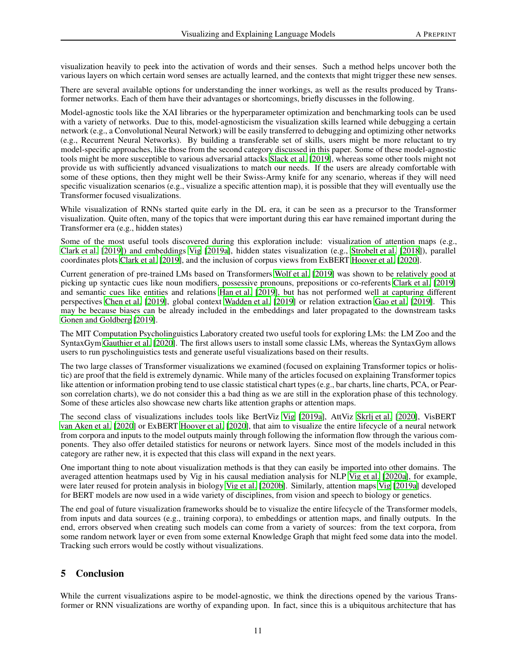visualization heavily to peek into the activation of words and their senses. Such a method helps uncover both the various layers on which certain word senses are actually learned, and the contexts that might trigger these new senses.

There are several available options for understanding the inner workings, as well as the results produced by Transformer networks. Each of them have their advantages or shortcomings, briefly discusses in the following.

Model-agnostic tools like the XAI libraries or the hyperparameter optimization and benchmarking tools can be used with a variety of networks. Due to this, model-agnosticism the visualization skills learned while debugging a certain network (e.g., a Convolutional Neural Network) will be easily transferred to debugging and optimizing other networks (e.g., Recurrent Neural Networks). By building a transferable set of skills, users might be more reluctant to try model-specific approaches, like those from the second category discussed in this paper. Some of these model-agnostic tools might be more susceptible to various adversarial attacks Slack et al. [2019], whereas some other tools might not provide us with sufficiently advanced visualizations to match our needs. If the users are already comfortable with some of these options, then they might well be their Swiss-Army knife for any scenario, whereas if they will need specific visualization scenarios (e.g., visualize a specific attention map), it is possible that they will eventually use the Transformer focused visualizations.

While visualization of RNNs started quite early in the DL era, it can be seen as a precursor to the Transformer visualization. Quite often, many of the topics that were important during this ear have remained important during the Transformer era (e.g., hidden states)

Some of the most useful tools discovered during this exploration include: visualization of attention maps (e.g., Clark et al. [2019]) and embeddings Vig [2019a], hidden states visualization (e.g., Strobelt et al. [2018]), parallel coordinates plots Clark et al. [2019], and the inclusion of corpus views from ExBERT Hoover et al. [2020].

Current generation of pre-trained LMs based on Transformers Wolf et al. [2019] was shown to be relatively good at picking up syntactic cues like noun modifiers, possessive pronouns, prepositions or co-referents Clark et al. [2019] and semantic cues like entities and relations Han et al. [2019], but has not performed well at capturing different perspectives Chen et al. [2019], global context Wadden et al. [2019] or relation extraction Gao et al. [2019]. This may be because biases can be already included in the embeddings and later propagated to the downstream tasks Gonen and Goldberg [2019].

The MIT Computation Psycholinguistics Laboratory created two useful tools for exploring LMs: the LM Zoo and the SyntaxGym Gauthier et al. [2020]. The first allows users to install some classic LMs, whereas the SyntaxGym allows users to run pyscholinguistics tests and generate useful visualizations based on their results.

The two large classes of Transformer visualizations we examined (focused on explaining Transformer topics or holistic) are proof that the field is extremely dynamic. While many of the articles focused on explaining Transformer topics like attention or information probing tend to use classic statistical chart types (e.g., bar charts, line charts, PCA, or Pearson correlation charts), we do not consider this a bad thing as we are still in the exploration phase of this technology. Some of these articles also showcase new charts like attention graphs or attention maps.

The second class of visualizations includes tools like BertViz Vig [2019a], AttViz Skrlj et al. [2020], VisBERT van Aken et al. [2020] or ExBERT Hoover et al. [2020], that aim to visualize the entire lifecycle of a neural network from corpora and inputs to the model outputs mainly through following the information flow through the various components. They also offer detailed statistics for neurons or network layers. Since most of the models included in this category are rather new, it is expected that this class will expand in the next years.

One important thing to note about visualization methods is that they can easily be imported into other domains. The averaged attention heatmaps used by Vig in his causal mediation analysis for NLP Vig et al. [2020a], for example, were later reused for protein analysis in biology Vig et al. [2020b]. Similarly, attention maps Vig [2019a] developed for BERT models are now used in a wide variety of disciplines, from vision and speech to biology or genetics.

The end goal of future visualization frameworks should be to visualize the entire lifecycle of the Transformer models, from inputs and data sources (e.g., training corpora), to embeddings or attention maps, and finally outputs. In the end, errors observed when creating such models can come from a variety of sources: from the text corpora, from some random network layer or even from some external Knowledge Graph that might feed some data into the model. Tracking such errors would be costly without visualizations.

# 5 Conclusion

While the current visualizations aspire to be model-agnostic, we think the directions opened by the various Transformer or RNN visualizations are worthy of expanding upon. In fact, since this is a ubiquitous architecture that has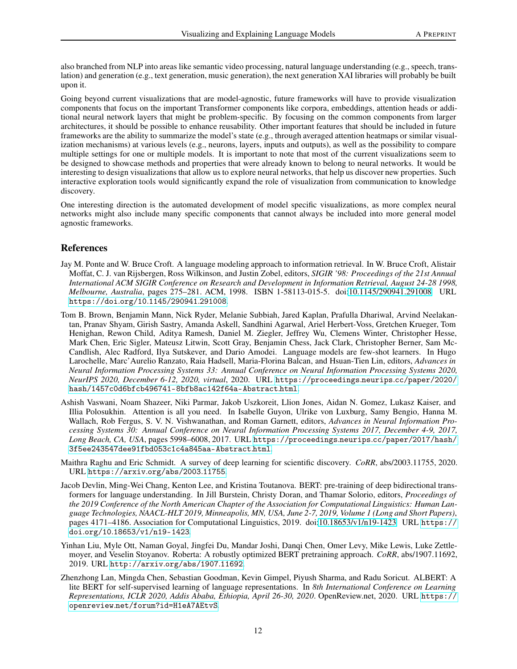also branched from NLP into areas like semantic video processing, natural language understanding (e.g., speech, translation) and generation (e.g., text generation, music generation), the next generation XAI libraries will probably be built upon it.

Going beyond current visualizations that are model-agnostic, future frameworks will have to provide visualization components that focus on the important Transformer components like corpora, embeddings, attention heads or additional neural network layers that might be problem-specific. By focusing on the common components from larger architectures, it should be possible to enhance reusability. Other important features that should be included in future frameworks are the ability to summarize the model's state (e.g., through averaged attention heatmaps or similar visualization mechanisms) at various levels (e.g., neurons, layers, inputs and outputs), as well as the possibility to compare multiple settings for one or multiple models. It is important to note that most of the current visualizations seem to be designed to showcase methods and properties that were already known to belong to neural networks. It would be interesting to design visualizations that allow us to explore neural networks, that help us discover new properties. Such interactive exploration tools would significantly expand the role of visualization from communication to knowledge discovery.

One interesting direction is the automated development of model specific visualizations, as more complex neural networks might also include many specific components that cannot always be included into more general model agnostic frameworks.

# References

- Jay M. Ponte and W. Bruce Croft. A language modeling approach to information retrieval. In W. Bruce Croft, Alistair Moffat, C. J. van Rijsbergen, Ross Wilkinson, and Justin Zobel, editors, *SIGIR '98: Proceedings of the 21st Annual International ACM SIGIR Conference on Research and Development in Information Retrieval, August 24-28 1998, Melbourne, Australia*, pages 275–281. ACM, 1998. ISBN 1-58113-015-5. doi[:10.1145/290941.291008.](https://doi.org/10.1145/290941.291008) URL https://doi.org/10.[1145/290941](https://doi.org/10.1145/290941.291008).291008.
- Tom B. Brown, Benjamin Mann, Nick Ryder, Melanie Subbiah, Jared Kaplan, Prafulla Dhariwal, Arvind Neelakantan, Pranav Shyam, Girish Sastry, Amanda Askell, Sandhini Agarwal, Ariel Herbert-Voss, Gretchen Krueger, Tom Henighan, Rewon Child, Aditya Ramesh, Daniel M. Ziegler, Jeffrey Wu, Clemens Winter, Christopher Hesse, Mark Chen, Eric Sigler, Mateusz Litwin, Scott Gray, Benjamin Chess, Jack Clark, Christopher Berner, Sam Mc-Candlish, Alec Radford, Ilya Sutskever, and Dario Amodei. Language models are few-shot learners. In Hugo Larochelle, Marc'Aurelio Ranzato, Raia Hadsell, Maria-Florina Balcan, and Hsuan-Tien Lin, editors, *Advances in Neural Information Processing Systems 33: Annual Conference on Neural Information Processing Systems 2020, NeurIPS 2020, December 6-12, 2020, virtual*, 2020. URL [https://proceedings](https://proceedings.neurips.cc/paper/2020/hash/1457c0d6bfcb496741-8bfb8ac142f64a-Abstract.html).neurips.cc/paper/2020/ [hash/1457c0d6bfcb496741-8bfb8ac142f64a-Abstract](https://proceedings.neurips.cc/paper/2020/hash/1457c0d6bfcb496741-8bfb8ac142f64a-Abstract.html).html.
- Ashish Vaswani, Noam Shazeer, Niki Parmar, Jakob Uszkoreit, Llion Jones, Aidan N. Gomez, Lukasz Kaiser, and Illia Polosukhin. Attention is all you need. In Isabelle Guyon, Ulrike von Luxburg, Samy Bengio, Hanna M. Wallach, Rob Fergus, S. V. N. Vishwanathan, and Roman Garnett, editors, *Advances in Neural Information Processing Systems 30: Annual Conference on Neural Information Processing Systems 2017, December 4-9, 2017, Long Beach, CA, USA*, pages 5998–6008, 2017. URL [https://proceedings](https://proceedings.neurips.cc/paper/2017/hash/3f5ee243547dee91fbd053c1c4a845aa-Abstract.html).neurips.cc/paper/2017/hash/ [3f5ee243547dee91fbd053c1c4a845aa-Abstract](https://proceedings.neurips.cc/paper/2017/hash/3f5ee243547dee91fbd053c1c4a845aa-Abstract.html).html.
- Maithra Raghu and Eric Schmidt. A survey of deep learning for scientific discovery. *CoRR*, abs/2003.11755, 2020. URL [https://arxiv](https://arxiv.org/abs/2003.11755).org/abs/2003.11755.
- Jacob Devlin, Ming-Wei Chang, Kenton Lee, and Kristina Toutanova. BERT: pre-training of deep bidirectional transformers for language understanding. In Jill Burstein, Christy Doran, and Thamar Solorio, editors, *Proceedings of the 2019 Conference of the North American Chapter of the Association for Computational Linguistics: Human Language Technologies, NAACL-HLT 2019, Minneapolis, MN, USA, June 2-7, 2019, Volume 1 (Long and Short Papers)*, pages 4171–4186. Association for Computational Linguistics, 2019. doi[:10.18653/v1/n19-1423.](https://doi.org/10.18653/v1/n19-1423) URL [https://](https://doi.org/10.18653/v1/n19-1423) doi.org/10.[18653/v1/n19-1423](https://doi.org/10.18653/v1/n19-1423).
- Yinhan Liu, Myle Ott, Naman Goyal, Jingfei Du, Mandar Joshi, Danqi Chen, Omer Levy, Mike Lewis, Luke Zettlemoyer, and Veselin Stoyanov. Roberta: A robustly optimized BERT pretraining approach. *CoRR*, abs/1907.11692, 2019. URL http://arxiv.[org/abs/1907](http://arxiv.org/abs/1907.11692).11692.
- Zhenzhong Lan, Mingda Chen, Sebastian Goodman, Kevin Gimpel, Piyush Sharma, and Radu Soricut. ALBERT: A lite BERT for self-supervised learning of language representations. In *8th International Conference on Learning Representations, ICLR 2020, Addis Ababa, Ethiopia, April 26-30, 2020*. OpenReview.net, 2020. URL [https://](https://openreview.net/forum?id=H1eA7AEtvS) openreview.[net/forum?id=H1eA7AEtvS](https://openreview.net/forum?id=H1eA7AEtvS).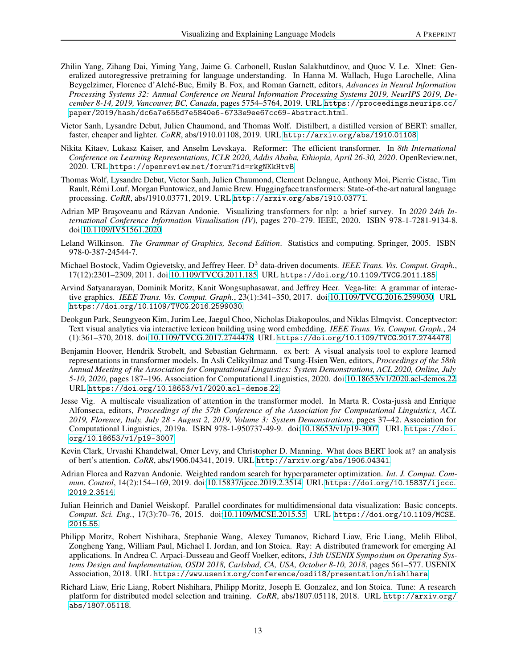- Zhilin Yang, Zihang Dai, Yiming Yang, Jaime G. Carbonell, Ruslan Salakhutdinov, and Quoc V. Le. Xlnet: Generalized autoregressive pretraining for language understanding. In Hanna M. Wallach, Hugo Larochelle, Alina Beygelzimer, Florence d'Alché-Buc, Emily B. Fox, and Roman Garnett, editors, *Advances in Neural Information Processing Systems 32: Annual Conference on Neural Information Processing Systems 2019, NeurIPS 2019, December 8-14, 2019, Vancouver, BC, Canada*, pages 5754–5764, 2019. URL [https://proceedings](https://proceedings.neurips.cc/paper/2019/hash/dc6a7e655d7e5840e6-6733e9ee67cc69-Abstract.html).neurips.cc/ [paper/2019/hash/dc6a7e655d7e5840e6-6733e9ee67cc69-Abstract](https://proceedings.neurips.cc/paper/2019/hash/dc6a7e655d7e5840e6-6733e9ee67cc69-Abstract.html).html.
- Victor Sanh, Lysandre Debut, Julien Chaumond, and Thomas Wolf. Distilbert, a distilled version of BERT: smaller, faster, cheaper and lighter. *CoRR*, abs/1910.01108, 2019. URL http://arxiv.[org/abs/1910](http://arxiv.org/abs/1910.01108).01108.
- Nikita Kitaev, Lukasz Kaiser, and Anselm Levskaya. Reformer: The efficient transformer. In *8th International Conference on Learning Representations, ICLR 2020, Addis Ababa, Ethiopia, April 26-30, 2020*. OpenReview.net, 2020. URL https://openreview.[net/forum?id=rkgNKkHtvB](https://openreview.net/forum?id=rkgNKkHtvB).
- Thomas Wolf, Lysandre Debut, Victor Sanh, Julien Chaumond, Clement Delangue, Anthony Moi, Pierric Cistac, Tim Rault, Rémi Louf, Morgan Funtowicz, and Jamie Brew. Huggingface transformers: State-of-the-art natural language processing. *CoRR*, abs/1910.03771, 2019. URL [http://arxiv](http://arxiv.org/abs/1910.03771).org/abs/1910.03771.
- <span id="page-12-0"></span>Adrian MP Brașoveanu and Răzvan Andonie. Visualizing transformers for nlp: a brief survey. In 2020 24th In*ternational Conference Information Visualisation (IV)*, pages 270–279. IEEE, 2020. ISBN 978-1-7281-9134-8. doi[:10.1109/IV51561.2020.](https://doi.org/10.1109/IV51561.2020)
- Leland Wilkinson. *The Grammar of Graphics, Second Edition*. Statistics and computing. Springer, 2005. ISBN 978-0-387-24544-7.
- Michael Bostock, Vadim Ogievetsky, and Jeffrey Heer. D<sup>3</sup> data-driven documents. *IEEE Trans. Vis. Comput. Graph.*, 17(12):2301–2309, 2011. doi[:10.1109/TVCG.2011.185.](https://doi.org/10.1109/TVCG.2011.185) URL [https://doi](https://doi.org/10.1109/TVCG.2011.185).org/10.1109/TVCG.2011.185.
- Arvind Satyanarayan, Dominik Moritz, Kanit Wongsuphasawat, and Jeffrey Heer. Vega-lite: A grammar of interactive graphics. *IEEE Trans. Vis. Comput. Graph.*, 23(1):341–350, 2017. doi[:10.1109/TVCG.2016.2599030.](https://doi.org/10.1109/TVCG.2016.2599030) URL [https://doi](https://doi.org/10.1109/TVCG.2016.2599030).org/10.1109/TVCG.2016.2599030.
- Deokgun Park, Seungyeon Kim, Jurim Lee, Jaegul Choo, Nicholas Diakopoulos, and Niklas Elmqvist. Conceptvector: Text visual analytics via interactive lexicon building using word embedding. *IEEE Trans. Vis. Comput. Graph.*, 24 (1):361–370, 2018. doi[:10.1109/TVCG.2017.2744478.](https://doi.org/10.1109/TVCG.2017.2744478) URL [https://doi](https://doi.org/10.1109/TVCG.2017.2744478).org/10.1109/TVCG.2017.2744478.
- Benjamin Hoover, Hendrik Strobelt, and Sebastian Gehrmann. ex bert: A visual analysis tool to explore learned representations in transformer models. In Asli Celikyilmaz and Tsung-Hsien Wen, editors, *Proceedings of the 58th Annual Meeting of the Association for Computational Linguistics: System Demonstrations, ACL 2020, Online, July 5-10, 2020*, pages 187–196. Association for Computational Linguistics, 2020. doi[:10.18653/v1/2020.acl-demos.22.](https://doi.org/10.18653/v1/2020.acl-demos.22) URL https://doi.org/10.[18653/v1/2020](https://doi.org/10.18653/v1/2020.acl-demos.22).acl-demos.22.
- Jesse Vig. A multiscale visualization of attention in the transformer model. In Marta R. Costa-jussà and Enrique Alfonseca, editors, *Proceedings of the 57th Conference of the Association for Computational Linguistics, ACL 2019, Florence, Italy, July 28 - August 2, 2019, Volume 3: System Demonstrations*, pages 37–42. Association for Computational Linguistics, 2019a. ISBN 978-1-950737-49-9. doi[:10.18653/v1/p19-3007.](https://doi.org/10.18653/v1/p19-3007) URL [https://doi](https://doi.org/10.18653/v1/p19-3007). org/10.[18653/v1/p19-3007](https://doi.org/10.18653/v1/p19-3007).
- Kevin Clark, Urvashi Khandelwal, Omer Levy, and Christopher D. Manning. What does BERT look at? an analysis of bert's attention. *CoRR*, abs/1906.04341, 2019. URL [http://arxiv](http://arxiv.org/abs/1906.04341).org/abs/1906.04341.
- Adrian Florea and Razvan Andonie. Weighted random search for hyperparameter optimization. *Int. J. Comput. Commun. Control*, 14(2):154–169, 2019. doi[:10.15837/ijccc.2019.2.3514.](https://doi.org/10.15837/ijccc.2019.2.3514) URL https://doi.org/10.[15837/ijccc](https://doi.org/10.15837/ijccc.2019.2.3514). 2019.2.[3514](https://doi.org/10.15837/ijccc.2019.2.3514).
- Julian Heinrich and Daniel Weiskopf. Parallel coordinates for multidimensional data visualization: Basic concepts. *Comput. Sci. Eng.*, 17(3):70–76, 2015. doi[:10.1109/MCSE.2015.55.](https://doi.org/10.1109/MCSE.2015.55) URL [https://doi](https://doi.org/10.1109/MCSE.2015.55).org/10.1109/MCSE. [2015](https://doi.org/10.1109/MCSE.2015.55).55.
- Philipp Moritz, Robert Nishihara, Stephanie Wang, Alexey Tumanov, Richard Liaw, Eric Liang, Melih Elibol, Zongheng Yang, William Paul, Michael I. Jordan, and Ion Stoica. Ray: A distributed framework for emerging AI applications. In Andrea C. Arpaci-Dusseau and Geoff Voelker, editors, *13th USENIX Symposium on Operating Systems Design and Implementation, OSDI 2018, Carlsbad, CA, USA, October 8-10, 2018*, pages 561–577. USENIX Association, 2018. URL https://www.usenix.[org/conference/osdi18/presentation/nishihara](https://www.usenix.org/conference/osdi18/presentation/nishihara).
- Richard Liaw, Eric Liang, Robert Nishihara, Philipp Moritz, Joseph E. Gonzalez, and Ion Stoica. Tune: A research platform for distributed model selection and training. *CoRR*, abs/1807.05118, 2018. URL [http://arxiv](http://arxiv.org/abs/1807.05118).org/ [abs/1807](http://arxiv.org/abs/1807.05118).05118.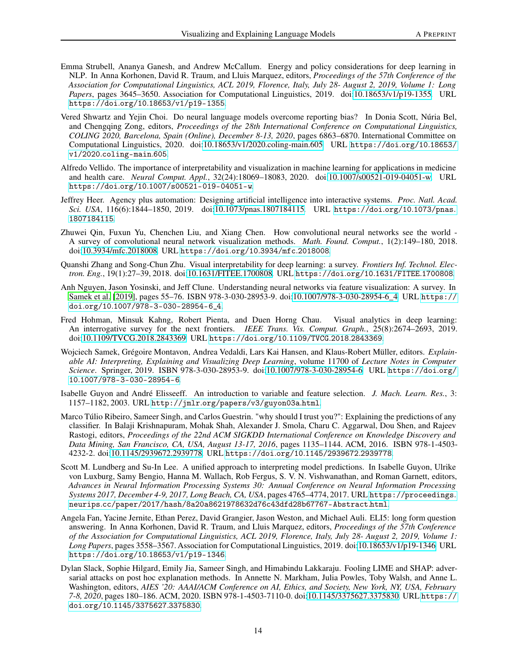- Emma Strubell, Ananya Ganesh, and Andrew McCallum. Energy and policy considerations for deep learning in NLP. In Anna Korhonen, David R. Traum, and Lluis Marquez, editors, *Proceedings of the 57th Conference of the Association for Computational Linguistics, ACL 2019, Florence, Italy, July 28- August 2, 2019, Volume 1: Long Papers*, pages 3645–3650. Association for Computational Linguistics, 2019. doi[:10.18653/v1/p19-1355.](https://doi.org/10.18653/v1/p19-1355) URL https://doi.org/10.[18653/v1/p19-1355](https://doi.org/10.18653/v1/p19-1355).
- Vered Shwartz and Yejin Choi. Do neural language models overcome reporting bias? In Donia Scott, Núria Bel, and Chengqing Zong, editors, *Proceedings of the 28th International Conference on Computational Linguistics, COLING 2020, Barcelona, Spain (Online), December 8-13, 2020*, pages 6863–6870. International Committee on Computational Linguistics, 2020. doi[:10.18653/v1/2020.coling-main.605.](https://doi.org/10.18653/v1/2020.coling-main.605) URL [https://doi](https://doi.org/10.18653/v1/2020.coling-main.605).org/10.18653/ v1/2020.[coling-main](https://doi.org/10.18653/v1/2020.coling-main.605).605.
- Alfredo Vellido. The importance of interpretability and visualization in machine learning for applications in medicine and health care. *Neural Comput. Appl.*, 32(24):18069–18083, 2020. doi[:10.1007/s00521-019-04051-w.](https://doi.org/10.1007/s00521-019-04051-w) URL https://doi.org/10.[1007/s00521-019-04051-w](https://doi.org/10.1007/s00521-019-04051-w).
- Jeffrey Heer. Agency plus automation: Designing artificial intelligence into interactive systems. *Proc. Natl. Acad. Sci. USA*, 116(6):1844–1850, 2019. doi[:10.1073/pnas.1807184115.](https://doi.org/10.1073/pnas.1807184115) URL [https://doi](https://doi.org/10.1073/pnas.1807184115).org/10.1073/pnas. [1807184115](https://doi.org/10.1073/pnas.1807184115).
- Zhuwei Qin, Fuxun Yu, Chenchen Liu, and Xiang Chen. How convolutional neural networks see the world A survey of convolutional neural network visualization methods. *Math. Found. Comput.*, 1(2):149–180, 2018. doi[:10.3934/mfc.2018008.](https://doi.org/10.3934/mfc.2018008) URL [https://doi](https://doi.org/10.3934/mfc.2018008).org/10.3934/mfc.2018008.
- Quanshi Zhang and Song-Chun Zhu. Visual interpretability for deep learning: a survey. *Frontiers Inf. Technol. Electron. Eng.*, 19(1):27–39, 2018. doi[:10.1631/FITEE.1700808.](https://doi.org/10.1631/FITEE.1700808) URL [https://doi](https://doi.org/10.1631/FITEE.1700808).org/10.1631/FITEE.1700808.
- Anh Nguyen, Jason Yosinski, and Jeff Clune. Understanding neural networks via feature visualization: A survey. In Samek et al. [2019], pages 55–76. ISBN 978-3-030-28953-9. doi[:10.1007/978-3-030-28954-6\\_4.](https://doi.org/10.1007/978-3-030-28954-6_4) URL [https://](https://doi.org/10.1007/978-3-030-28954-6_4) doi.org/10.[1007/978-3-030-28954-6\\_4](https://doi.org/10.1007/978-3-030-28954-6_4).
- Fred Hohman, Minsuk Kahng, Robert Pienta, and Duen Horng Chau. Visual analytics in deep learning: An interrogative survey for the next frontiers. *IEEE Trans. Vis. Comput. Graph.*, 25(8):2674–2693, 2019. doi[:10.1109/TVCG.2018.2843369.](https://doi.org/10.1109/TVCG.2018.2843369) URL [https://doi](https://doi.org/10.1109/TVCG.2018.2843369).org/10.1109/TVCG.2018.2843369.
- Wojciech Samek, Grégoire Montavon, Andrea Vedaldi, Lars Kai Hansen, and Klaus-Robert Müller, editors. *Explainable AI: Interpreting, Explaining and Visualizing Deep Learning*, volume 11700 of *Lecture Notes in Computer Science*. Springer, 2019. ISBN 978-3-030-28953-9. doi[:10.1007/978-3-030-28954-6.](https://doi.org/10.1007/978-3-030-28954-6) URL [https://doi](https://doi.org/10.1007/978-3-030-28954-6).org/ 10.[1007/978-3-030-28954-6](https://doi.org/10.1007/978-3-030-28954-6).
- Isabelle Guyon and André Elisseeff. An introduction to variable and feature selection. *J. Mach. Learn. Res.*, 3: 1157–1182, 2003. URL http://jmlr.[org/papers/v3/guyon03a](http://jmlr.org/papers/v3/guyon03a.html).html.
- Marco Túlio Ribeiro, Sameer Singh, and Carlos Guestrin. "why should I trust you?": Explaining the predictions of any classifier. In Balaji Krishnapuram, Mohak Shah, Alexander J. Smola, Charu C. Aggarwal, Dou Shen, and Rajeev Rastogi, editors, *Proceedings of the 22nd ACM SIGKDD International Conference on Knowledge Discovery and Data Mining, San Francisco, CA, USA, August 13-17, 2016*, pages 1135–1144. ACM, 2016. ISBN 978-1-4503- 4232-2. doi[:10.1145/2939672.2939778.](https://doi.org/10.1145/2939672.2939778) URL https://doi.org/10.[1145/2939672](https://doi.org/10.1145/2939672.2939778).2939778.
- Scott M. Lundberg and Su-In Lee. A unified approach to interpreting model predictions. In Isabelle Guyon, Ulrike von Luxburg, Samy Bengio, Hanna M. Wallach, Rob Fergus, S. V. N. Vishwanathan, and Roman Garnett, editors, *Advances in Neural Information Processing Systems 30: Annual Conference on Neural Information Processing Systems 2017, December 4-9, 2017, Long Beach, CA, USA*, pages 4765–4774, 2017. URL [https://proceedings](https://proceedings.neurips.cc/paper/2017/hash/8a20a8621978632d76c43dfd28b67767-Abstract.html). neurips.[cc/paper/2017/hash/8a20a8621978632d76c43dfd28b67767-Abstract](https://proceedings.neurips.cc/paper/2017/hash/8a20a8621978632d76c43dfd28b67767-Abstract.html).html.
- Angela Fan, Yacine Jernite, Ethan Perez, David Grangier, Jason Weston, and Michael Auli. ELI5: long form question answering. In Anna Korhonen, David R. Traum, and Lluis Marquez, editors, *Proceedings of the 57th Conference of the Association for Computational Linguistics, ACL 2019, Florence, Italy, July 28- August 2, 2019, Volume 1: Long Papers*, pages 3558–3567. Association for Computational Linguistics, 2019. doi[:10.18653/v1/p19-1346.](https://doi.org/10.18653/v1/p19-1346) URL https://doi.org/10.[18653/v1/p19-1346](https://doi.org/10.18653/v1/p19-1346).
- Dylan Slack, Sophie Hilgard, Emily Jia, Sameer Singh, and Himabindu Lakkaraju. Fooling LIME and SHAP: adversarial attacks on post hoc explanation methods. In Annette N. Markham, Julia Powles, Toby Walsh, and Anne L. Washington, editors, *AIES '20: AAAI/ACM Conference on AI, Ethics, and Society, New York, NY, USA, February 7-8, 2020*, pages 180–186. ACM, 2020. ISBN 978-1-4503-7110-0. doi[:10.1145/3375627.3375830.](https://doi.org/10.1145/3375627.3375830) URL [https://](https://doi.org/10.1145/3375627.3375830) doi.org/10.[1145/3375627](https://doi.org/10.1145/3375627.3375830).3375830.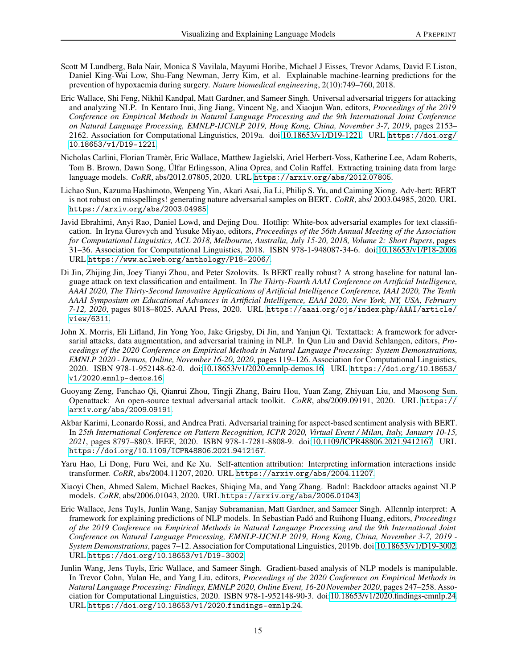- <span id="page-14-0"></span>Scott M Lundberg, Bala Nair, Monica S Vavilala, Mayumi Horibe, Michael J Eisses, Trevor Adams, David E Liston, Daniel King-Wai Low, Shu-Fang Newman, Jerry Kim, et al. Explainable machine-learning predictions for the prevention of hypoxaemia during surgery. *Nature biomedical engineering*, 2(10):749–760, 2018.
- Eric Wallace, Shi Feng, Nikhil Kandpal, Matt Gardner, and Sameer Singh. Universal adversarial triggers for attacking and analyzing NLP. In Kentaro Inui, Jing Jiang, Vincent Ng, and Xiaojun Wan, editors, *Proceedings of the 2019 Conference on Empirical Methods in Natural Language Processing and the 9th International Joint Conference on Natural Language Processing, EMNLP-IJCNLP 2019, Hong Kong, China, November 3-7, 2019*, pages 2153– 2162. Association for Computational Linguistics, 2019a. doi[:10.18653/v1/D19-1221.](https://doi.org/10.18653/v1/D19-1221) URL [https://doi](https://doi.org/10.18653/v1/D19-1221).org/ 10.[18653/v1/D19-1221](https://doi.org/10.18653/v1/D19-1221).
- Nicholas Carlini, Florian Tramèr, Eric Wallace, Matthew Jagielski, Ariel Herbert-Voss, Katherine Lee, Adam Roberts, Tom B. Brown, Dawn Song, Úlfar Erlingsson, Alina Oprea, and Colin Raffel. Extracting training data from large language models. *CoRR*, abs/2012.07805, 2020. URL [https://arxiv](https://arxiv.org/abs/2012.07805).org/abs/2012.07805.
- Lichao Sun, Kazuma Hashimoto, Wenpeng Yin, Akari Asai, Jia Li, Philip S. Yu, and Caiming Xiong. Adv-bert: BERT is not robust on misspellings! generating nature adversarial samples on BERT. *CoRR*, abs/ 2003.04985, 2020. URL [https://arxiv](https://arxiv.org/abs/2003.04985).org/abs/2003.04985.
- Javid Ebrahimi, Anyi Rao, Daniel Lowd, and Dejing Dou. Hotflip: White-box adversarial examples for text classification. In Iryna Gurevych and Yusuke Miyao, editors, *Proceedings of the 56th Annual Meeting of the Association for Computational Linguistics, ACL 2018, Melbourne, Australia, July 15-20, 2018, Volume 2: Short Papers*, pages 31–36. Association for Computational Linguistics, 2018. ISBN 978-1-948087-34-6. doi[:10.18653/v1/P18-2006.](https://doi.org/10.18653/v1/P18-2006) URL https://www.aclweb.[org/anthology/P18-2006/](https://www.aclweb.org/anthology/P18-2006/).
- Di Jin, Zhijing Jin, Joey Tianyi Zhou, and Peter Szolovits. Is BERT really robust? A strong baseline for natural language attack on text classification and entailment. In *The Thirty-Fourth AAAI Conference on Artificial Intelligence, AAAI 2020, The Thirty-Second Innovative Applications of Artificial Intelligence Conference, IAAI 2020, The Tenth AAAI Symposium on Educational Advances in Artificial Intelligence, EAAI 2020, New York, NY, USA, February 7-12, 2020*, pages 8018–8025. AAAI Press, 2020. URL https://aaai.org/ojs/index.[php/AAAI/article/](https://aaai.org/ojs/index.php/AAAI/article/view/6311) [view/6311](https://aaai.org/ojs/index.php/AAAI/article/view/6311).
- John X. Morris, Eli Lifland, Jin Yong Yoo, Jake Grigsby, Di Jin, and Yanjun Qi. Textattack: A framework for adversarial attacks, data augmentation, and adversarial training in NLP. In Qun Liu and David Schlangen, editors, *Proceedings of the 2020 Conference on Empirical Methods in Natural Language Processing: System Demonstrations, EMNLP 2020 - Demos, Online, November 16-20, 2020*, pages 119–126. Association for Computational Linguistics, 2020. ISBN 978-1-952148-62-0. doi[:10.18653/v1/2020.emnlp-demos.16.](https://doi.org/10.18653/v1/2020.emnlp-demos.16) URL [https://doi](https://doi.org/10.18653/v1/2020.emnlp-demos.16).org/10.18653/ v1/2020.[emnlp-demos](https://doi.org/10.18653/v1/2020.emnlp-demos.16).16.
- Guoyang Zeng, Fanchao Qi, Qianrui Zhou, Tingji Zhang, Bairu Hou, Yuan Zang, Zhiyuan Liu, and Maosong Sun. Openattack: An open-source textual adversarial attack toolkit. *CoRR*, abs/2009.09191, 2020. URL [https://](https://arxiv.org/abs/2009.09191) arxiv.[org/abs/2009](https://arxiv.org/abs/2009.09191).09191.
- Akbar Karimi, Leonardo Rossi, and Andrea Prati. Adversarial training for aspect-based sentiment analysis with BERT. In *25th International Conference on Pattern Recognition, ICPR 2020, Virtual Event / Milan, Italy, January 10-15, 2021*, pages 8797–8803. IEEE, 2020. ISBN 978-1-7281-8808-9. doi[:10.1109/ICPR48806.2021.9412167.](https://doi.org/10.1109/ICPR48806.2021.9412167) URL https://doi.org/10.[1109/ICPR48806](https://doi.org/10.1109/ICPR48806.2021.9412167).2021.9412167.
- Yaru Hao, Li Dong, Furu Wei, and Ke Xu. Self-attention attribution: Interpreting information interactions inside transformer. *CoRR*, abs/2004.11207, 2020. URL [https://arxiv](https://arxiv.org/abs/2004.11207).org/abs/2004.11207.
- Xiaoyi Chen, Ahmed Salem, Michael Backes, Shiqing Ma, and Yang Zhang. Badnl: Backdoor attacks against NLP models. *CoRR*, abs/2006.01043, 2020. URL [https://arxiv](https://arxiv.org/abs/2006.01043).org/abs/2006.01043.
- Eric Wallace, Jens Tuyls, Junlin Wang, Sanjay Subramanian, Matt Gardner, and Sameer Singh. Allennlp interpret: A framework for explaining predictions of NLP models. In Sebastian Padó and Ruihong Huang, editors, *Proceedings of the 2019 Conference on Empirical Methods in Natural Language Processing and the 9th International Joint Conference on Natural Language Processing, EMNLP-IJCNLP 2019, Hong Kong, China, November 3-7, 2019 - System Demonstrations*, pages 7–12. Association for Computational Linguistics, 2019b. doi[:10.18653/v1/D19-3002.](https://doi.org/10.18653/v1/D19-3002) URL https://doi.org/10.[18653/v1/D19-3002](https://doi.org/10.18653/v1/D19-3002).
- Junlin Wang, Jens Tuyls, Eric Wallace, and Sameer Singh. Gradient-based analysis of NLP models is manipulable. In Trevor Cohn, Yulan He, and Yang Liu, editors, *Proceedings of the 2020 Conference on Empirical Methods in Natural Language Processing: Findings, EMNLP 2020, Online Event, 16-20 November 2020*, pages 247–258. Association for Computational Linguistics, 2020. ISBN 978-1-952148-90-3. doi[:10.18653/v1/2020.findings-emnlp.24.](https://doi.org/10.18653/v1/2020.findings-emnlp.24) URL https://doi.org/10.18653/v1/2020.[findings-emnlp](https://doi.org/10.18653/v1/2020.findings-emnlp.24).24.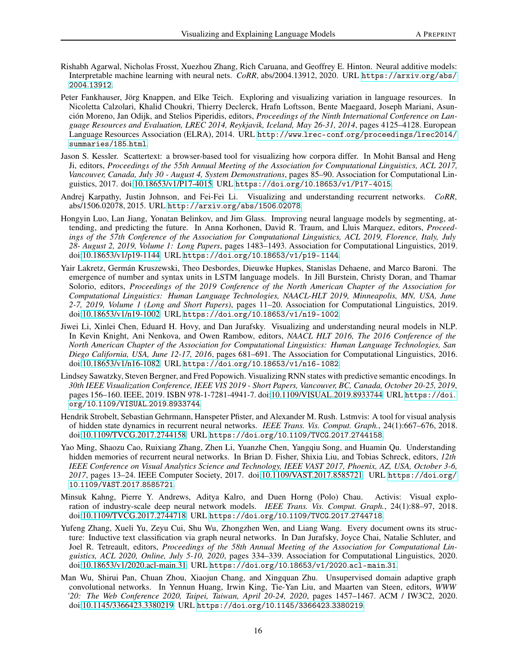- Rishabh Agarwal, Nicholas Frosst, Xuezhou Zhang, Rich Caruana, and Geoffrey E. Hinton. Neural additive models: Interpretable machine learning with neural nets. *CoRR*, abs/2004.13912, 2020. URL [https://arxiv](https://arxiv.org/abs/2004.13912).org/abs/ 2004.[13912](https://arxiv.org/abs/2004.13912).
- Peter Fankhauser, Jörg Knappen, and Elke Teich. Exploring and visualizing variation in language resources. In Nicoletta Calzolari, Khalid Choukri, Thierry Declerck, Hrafn Loftsson, Bente Maegaard, Joseph Mariani, Asunción Moreno, Jan Odijk, and Stelios Piperidis, editors, *Proceedings of the Ninth International Conference on Language Resources and Evaluation, LREC 2014, Reykjavik, Iceland, May 26-31, 2014*, pages 4125–4128. European Language Resources Association (ELRA), 2014. URL http://www.lrec-conf.[org/proceedings/lrec2014/](http://www.lrec-conf.org/proceedings/lrec2014/summaries/185.html) [summaries/185](http://www.lrec-conf.org/proceedings/lrec2014/summaries/185.html).html.
- Jason S. Kessler. Scattertext: a browser-based tool for visualizing how corpora differ. In Mohit Bansal and Heng Ji, editors, *Proceedings of the 55th Annual Meeting of the Association for Computational Linguistics, ACL 2017, Vancouver, Canada, July 30 - August 4, System Demonstrations*, pages 85–90. Association for Computational Linguistics, 2017. doi[:10.18653/v1/P17-4015.](https://doi.org/10.18653/v1/P17-4015) URL https://doi.org/10.[18653/v1/P17-4015](https://doi.org/10.18653/v1/P17-4015).
- Andrej Karpathy, Justin Johnson, and Fei-Fei Li. Visualizing and understanding recurrent networks. *CoRR*, abs/1506.02078, 2015. URL http://arxiv.[org/abs/1506](http://arxiv.org/abs/1506.02078).02078.
- Hongyin Luo, Lan Jiang, Yonatan Belinkov, and Jim Glass. Improving neural language models by segmenting, attending, and predicting the future. In Anna Korhonen, David R. Traum, and Lluis Marquez, editors, *Proceedings of the 57th Conference of the Association for Computational Linguistics, ACL 2019, Florence, Italy, July 28- August 2, 2019, Volume 1: Long Papers*, pages 1483–1493. Association for Computational Linguistics, 2019. doi[:10.18653/v1/p19-1144.](https://doi.org/10.18653/v1/p19-1144) URL https://doi.org/10.[18653/v1/p19-1144](https://doi.org/10.18653/v1/p19-1144).
- Yair Lakretz, Germán Kruszewski, Theo Desbordes, Dieuwke Hupkes, Stanislas Dehaene, and Marco Baroni. The emergence of number and syntax units in LSTM language models. In Jill Burstein, Christy Doran, and Thamar Solorio, editors, *Proceedings of the 2019 Conference of the North American Chapter of the Association for Computational Linguistics: Human Language Technologies, NAACL-HLT 2019, Minneapolis, MN, USA, June 2-7, 2019, Volume 1 (Long and Short Papers)*, pages 11–20. Association for Computational Linguistics, 2019. doi[:10.18653/v1/n19-1002.](https://doi.org/10.18653/v1/n19-1002) URL https://doi.org/10.[18653/v1/n19-1002](https://doi.org/10.18653/v1/n19-1002).
- Jiwei Li, Xinlei Chen, Eduard H. Hovy, and Dan Jurafsky. Visualizing and understanding neural models in NLP. In Kevin Knight, Ani Nenkova, and Owen Rambow, editors, *NAACL HLT 2016, The 2016 Conference of the North American Chapter of the Association for Computational Linguistics: Human Language Technologies, San Diego California, USA, June 12-17, 2016*, pages 681–691. The Association for Computational Linguistics, 2016. doi[:10.18653/v1/n16-1082.](https://doi.org/10.18653/v1/n16-1082) URL https://doi.org/10.[18653/v1/n16-1082](https://doi.org/10.18653/v1/n16-1082).
- Lindsey Sawatzky, Steven Bergner, and Fred Popowich. Visualizing RNN states with predictive semantic encodings. In *30th IEEE Visualization Conference, IEEE VIS 2019 - Short Papers, Vancouver, BC, Canada, October 20-25, 2019*, pages 156–160. IEEE, 2019. ISBN 978-1-7281-4941-7. doi[:10.1109/VISUAL.2019.8933744.](https://doi.org/10.1109/VISUAL.2019.8933744) URL [https://doi](https://doi.org/10.1109/VISUAL.2019.8933744). org/10.[1109/VISUAL](https://doi.org/10.1109/VISUAL.2019.8933744).2019.8933744.
- Hendrik Strobelt, Sebastian Gehrmann, Hanspeter Pfister, and Alexander M. Rush. Lstmvis: A tool for visual analysis of hidden state dynamics in recurrent neural networks. *IEEE Trans. Vis. Comput. Graph.*, 24(1):667–676, 2018. doi[:10.1109/TVCG.2017.2744158.](https://doi.org/10.1109/TVCG.2017.2744158) URL [https://doi](https://doi.org/10.1109/TVCG.2017.2744158).org/10.1109/TVCG.2017.2744158.
- Yao Ming, Shaozu Cao, Ruixiang Zhang, Zhen Li, Yuanzhe Chen, Yangqiu Song, and Huamin Qu. Understanding hidden memories of recurrent neural networks. In Brian D. Fisher, Shixia Liu, and Tobias Schreck, editors, *12th IEEE Conference on Visual Analytics Science and Technology, IEEE VAST 2017, Phoenix, AZ, USA, October 3-6, 2017*, pages 13–24. IEEE Computer Society, 2017. doi[:10.1109/VAST.2017.8585721.](https://doi.org/10.1109/VAST.2017.8585721) URL [https://doi](https://doi.org/10.1109/VAST.2017.8585721).org/ 10.[1109/VAST](https://doi.org/10.1109/VAST.2017.8585721).2017.8585721.
- Minsuk Kahng, Pierre Y. Andrews, Aditya Kalro, and Duen Horng (Polo) Chau. Activis: Visual exploration of industry-scale deep neural network models. *IEEE Trans. Vis. Comput. Graph.*, 24(1):88–97, 2018. doi[:10.1109/TVCG.2017.2744718.](https://doi.org/10.1109/TVCG.2017.2744718) URL [https://doi](https://doi.org/10.1109/TVCG.2017.2744718).org/10.1109/TVCG.2017.2744718.
- Yufeng Zhang, Xueli Yu, Zeyu Cui, Shu Wu, Zhongzhen Wen, and Liang Wang. Every document owns its structure: Inductive text classification via graph neural networks. In Dan Jurafsky, Joyce Chai, Natalie Schluter, and Joel R. Tetreault, editors, *Proceedings of the 58th Annual Meeting of the Association for Computational Linguistics, ACL 2020, Online, July 5-10, 2020*, pages 334–339. Association for Computational Linguistics, 2020. doi[:10.18653/v1/2020.acl-main.31.](https://doi.org/10.18653/v1/2020.acl-main.31) URL https://doi.org/10.[18653/v1/2020](https://doi.org/10.18653/v1/2020.acl-main.31).acl-main.31.
- Man Wu, Shirui Pan, Chuan Zhou, Xiaojun Chang, and Xingquan Zhu. Unsupervised domain adaptive graph convolutional networks. In Yennun Huang, Irwin King, Tie-Yan Liu, and Maarten van Steen, editors, *WWW '20: The Web Conference 2020, Taipei, Taiwan, April 20-24, 2020*, pages 1457–1467. ACM / IW3C2, 2020. doi[:10.1145/3366423.3380219.](https://doi.org/10.1145/3366423.3380219) URL https://doi.org/10.[1145/3366423](https://doi.org/10.1145/3366423.3380219).3380219.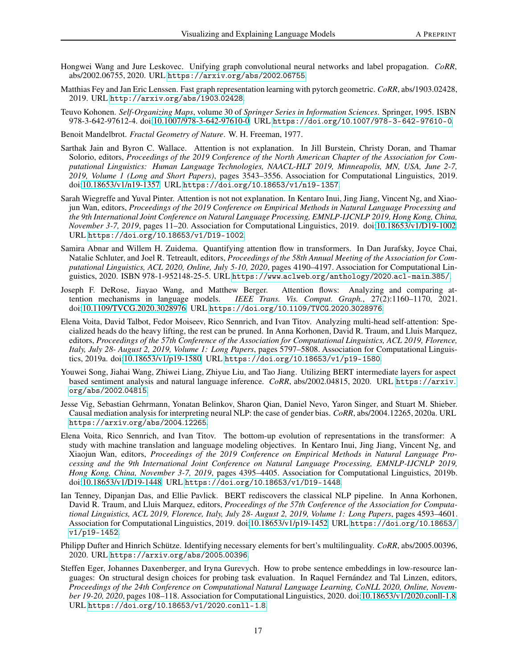- Hongwei Wang and Jure Leskovec. Unifying graph convolutional neural networks and label propagation. *CoRR*, abs/2002.06755, 2020. URL [https://arxiv](https://arxiv.org/abs/2002.06755).org/abs/2002.06755.
- Matthias Fey and Jan Eric Lenssen. Fast graph representation learning with pytorch geometric. *CoRR*, abs/1903.02428, 2019. URL http://arxiv.[org/abs/1903](http://arxiv.org/abs/1903.02428).02428.
- Teuvo Kohonen. *Self-Organizing Maps*, volume 30 of *Springer Series in Information Sciences*. Springer, 1995. ISBN 978-3-642-97612-4. doi[:10.1007/978-3-642-97610-0.](https://doi.org/10.1007/978-3-642-97610-0) URL https://doi.org/10.[1007/978-3-642-97610-0](https://doi.org/10.1007/978-3-642-97610-0).

Benoit Mandelbrot. *Fractal Geometry of Nature*. W. H. Freeman, 1977.

- Sarthak Jain and Byron C. Wallace. Attention is not explanation. In Jill Burstein, Christy Doran, and Thamar Solorio, editors, *Proceedings of the 2019 Conference of the North American Chapter of the Association for Computational Linguistics: Human Language Technologies, NAACL-HLT 2019, Minneapolis, MN, USA, June 2-7, 2019, Volume 1 (Long and Short Papers)*, pages 3543–3556. Association for Computational Linguistics, 2019. doi[:10.18653/v1/n19-1357.](https://doi.org/10.18653/v1/n19-1357) URL https://doi.org/10.[18653/v1/n19-1357](https://doi.org/10.18653/v1/n19-1357).
- Sarah Wiegreffe and Yuval Pinter. Attention is not not explanation. In Kentaro Inui, Jing Jiang, Vincent Ng, and Xiaojun Wan, editors, *Proceedings of the 2019 Conference on Empirical Methods in Natural Language Processing and the 9th International Joint Conference on Natural Language Processing, EMNLP-IJCNLP 2019, Hong Kong, China, November 3-7, 2019*, pages 11–20. Association for Computational Linguistics, 2019. doi[:10.18653/v1/D19-1002.](https://doi.org/10.18653/v1/D19-1002) URL https://doi.org/10.[18653/v1/D19-1002](https://doi.org/10.18653/v1/D19-1002).
- Samira Abnar and Willem H. Zuidema. Quantifying attention flow in transformers. In Dan Jurafsky, Joyce Chai, Natalie Schluter, and Joel R. Tetreault, editors, *Proceedings of the 58th Annual Meeting of the Association for Computational Linguistics, ACL 2020, Online, July 5-10, 2020*, pages 4190–4197. Association for Computational Linguistics, 2020. ISBN 978-1-952148-25-5. URL https://www.aclweb.[org/anthology/2020](https://www.aclweb.org/anthology/2020.acl-main.385/).acl-main.385/.
- Joseph F. DeRose, Jiayao Wang, and Matthew Berger. Attention flows: Analyzing and comparing attention mechanisms in language models. *IEEE Trans. Vis. Comput. Graph.*, 27(2):1160–1170, 2021. doi[:10.1109/TVCG.2020.3028976.](https://doi.org/10.1109/TVCG.2020.3028976) URL [https://doi](https://doi.org/10.1109/TVCG.2020.3028976).org/10.1109/TVCG.2020.3028976.
- Elena Voita, David Talbot, Fedor Moiseev, Rico Sennrich, and Ivan Titov. Analyzing multi-head self-attention: Specialized heads do the heavy lifting, the rest can be pruned. In Anna Korhonen, David R. Traum, and Lluis Marquez, editors, *Proceedings of the 57th Conference of the Association for Computational Linguistics, ACL 2019, Florence, Italy, July 28- August 2, 2019, Volume 1: Long Papers*, pages 5797–5808. Association for Computational Linguistics, 2019a. doi[:10.18653/v1/p19-1580.](https://doi.org/10.18653/v1/p19-1580) URL https://doi.org/10.[18653/v1/p19-1580](https://doi.org/10.18653/v1/p19-1580).
- Youwei Song, Jiahai Wang, Zhiwei Liang, Zhiyue Liu, and Tao Jiang. Utilizing BERT intermediate layers for aspect based sentiment analysis and natural language inference. *CoRR*, abs/2002.04815, 2020. URL [https://arxiv](https://arxiv.org/abs/2002.04815). [org/abs/2002](https://arxiv.org/abs/2002.04815).04815.
- Jesse Vig, Sebastian Gehrmann, Yonatan Belinkov, Sharon Qian, Daniel Nevo, Yaron Singer, and Stuart M. Shieber. Causal mediation analysis for interpreting neural NLP: the case of gender bias. *CoRR*, abs/2004.12265, 2020a. URL [https://arxiv](https://arxiv.org/abs/2004.12265).org/abs/2004.12265.
- Elena Voita, Rico Sennrich, and Ivan Titov. The bottom-up evolution of representations in the transformer: A study with machine translation and language modeling objectives. In Kentaro Inui, Jing Jiang, Vincent Ng, and Xiaojun Wan, editors, *Proceedings of the 2019 Conference on Empirical Methods in Natural Language Processing and the 9th International Joint Conference on Natural Language Processing, EMNLP-IJCNLP 2019, Hong Kong, China, November 3-7, 2019*, pages 4395–4405. Association for Computational Linguistics, 2019b. doi[:10.18653/v1/D19-1448.](https://doi.org/10.18653/v1/D19-1448) URL https://doi.org/10.[18653/v1/D19-1448](https://doi.org/10.18653/v1/D19-1448).
- Ian Tenney, Dipanjan Das, and Ellie Pavlick. BERT rediscovers the classical NLP pipeline. In Anna Korhonen, David R. Traum, and Lluis Marquez, editors, *Proceedings of the 57th Conference of the Association for Computational Linguistics, ACL 2019, Florence, Italy, July 28- August 2, 2019, Volume 1: Long Papers*, pages 4593–4601. Association for Computational Linguistics, 2019. doi[:10.18653/v1/p19-1452.](https://doi.org/10.18653/v1/p19-1452) URL [https://doi](https://doi.org/10.18653/v1/p19-1452).org/10.18653/ [v1/p19-1452](https://doi.org/10.18653/v1/p19-1452).
- Philipp Dufter and Hinrich Schütze. Identifying necessary elements for bert's multilinguality. *CoRR*, abs/2005.00396, 2020. URL [https://arxiv](https://arxiv.org/abs/2005.00396).org/abs/2005.00396.
- Steffen Eger, Johannes Daxenberger, and Iryna Gurevych. How to probe sentence embeddings in low-resource languages: On structural design choices for probing task evaluation. In Raquel Fernández and Tal Linzen, editors, *Proceedings of the 24th Conference on Computational Natural Language Learning, CoNLL 2020, Online, November 19-20, 2020*, pages 108–118. Association for Computational Linguistics, 2020. doi[:10.18653/v1/2020.conll-1.8.](https://doi.org/10.18653/v1/2020.conll-1.8) URL https://doi.org/10.[18653/v1/2020](https://doi.org/10.18653/v1/2020.conll-1.8).conll-1.8.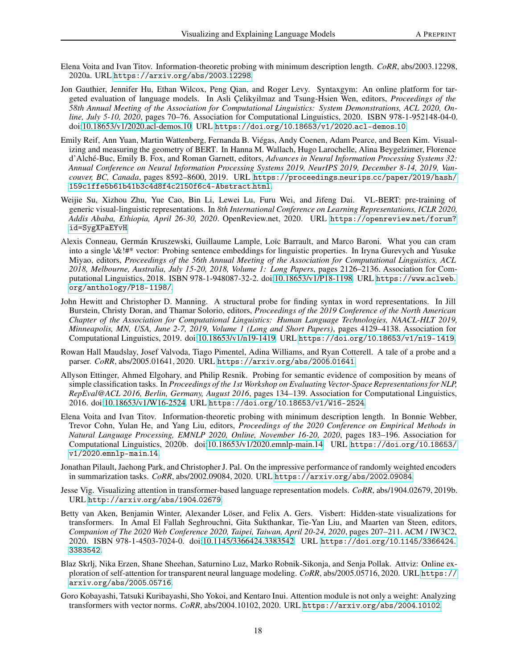- Elena Voita and Ivan Titov. Information-theoretic probing with minimum description length. *CoRR*, abs/2003.12298, 2020a. URL [https://arxiv](https://arxiv.org/abs/2003.12298).org/abs/2003.12298.
- Jon Gauthier, Jennifer Hu, Ethan Wilcox, Peng Qian, and Roger Levy. Syntaxgym: An online platform for targeted evaluation of language models. In Asli Çelikyilmaz and Tsung-Hsien Wen, editors, *Proceedings of the 58th Annual Meeting of the Association for Computational Linguistics: System Demonstrations, ACL 2020, Online, July 5-10, 2020*, pages 70–76. Association for Computational Linguistics, 2020. ISBN 978-1-952148-04-0. doi[:10.18653/v1/2020.acl-demos.10.](https://doi.org/10.18653/v1/2020.acl-demos.10) URL https://doi.org/10.[18653/v1/2020](https://doi.org/10.18653/v1/2020.acl-demos.10).acl-demos.10.
- Emily Reif, Ann Yuan, Martin Wattenberg, Fernanda B. Viégas, Andy Coenen, Adam Pearce, and Been Kim. Visualizing and measuring the geometry of BERT. In Hanna M. Wallach, Hugo Larochelle, Alina Beygelzimer, Florence d'Alché-Buc, Emily B. Fox, and Roman Garnett, editors, *Advances in Neural Information Processing Systems 32: Annual Conference on Neural Information Processing Systems 2019, NeurIPS 2019, December 8-14, 2019, Vancouver, BC, Canada*, pages 8592–8600, 2019. URL [https://proceedings](https://proceedings.neurips.cc/paper/2019/hash/159c1ffe5b61b41b3c4d8f4c2150f6c4-Abstract.html).neurips.cc/paper/2019/hash/ [159c1ffe5b61b41b3c4d8f4c2150f6c4-Abstract](https://proceedings.neurips.cc/paper/2019/hash/159c1ffe5b61b41b3c4d8f4c2150f6c4-Abstract.html).html.
- Weijie Su, Xizhou Zhu, Yue Cao, Bin Li, Lewei Lu, Furu Wei, and Jifeng Dai. VL-BERT: pre-training of generic visual-linguistic representations. In *8th International Conference on Learning Representations, ICLR 2020, Addis Ababa, Ethiopia, April 26-30, 2020*. OpenReview.net, 2020. URL [https://openreview](https://openreview.net/forum?id=SygXPaEYvH).net/forum? [id=SygXPaEYvH](https://openreview.net/forum?id=SygXPaEYvH).
- Alexis Conneau, Germán Kruszewski, Guillaume Lample, Loïc Barrault, and Marco Baroni. What you can cram into a single \&!#\* vector: Probing sentence embeddings for linguistic properties. In Iryna Gurevych and Yusuke Miyao, editors, *Proceedings of the 56th Annual Meeting of the Association for Computational Linguistics, ACL 2018, Melbourne, Australia, July 15-20, 2018, Volume 1: Long Papers*, pages 2126–2136. Association for Computational Linguistics, 2018. ISBN 978-1-948087-32-2. doi[:10.18653/v1/P18-1198.](https://doi.org/10.18653/v1/P18-1198) URL [https://www](https://www.aclweb.org/anthology/P18-1198/).aclweb. [org/anthology/P18-1198/](https://www.aclweb.org/anthology/P18-1198/).
- John Hewitt and Christopher D. Manning. A structural probe for finding syntax in word representations. In Jill Burstein, Christy Doran, and Thamar Solorio, editors, *Proceedings of the 2019 Conference of the North American Chapter of the Association for Computational Linguistics: Human Language Technologies, NAACL-HLT 2019, Minneapolis, MN, USA, June 2-7, 2019, Volume 1 (Long and Short Papers)*, pages 4129–4138. Association for Computational Linguistics, 2019. doi[:10.18653/v1/n19-1419.](https://doi.org/10.18653/v1/n19-1419) URL https://doi.org/10.[18653/v1/n19-1419](https://doi.org/10.18653/v1/n19-1419).
- Rowan Hall Maudslay, Josef Valvoda, Tiago Pimentel, Adina Williams, and Ryan Cotterell. A tale of a probe and a parser. *CoRR*, abs/2005.01641, 2020. URL [https://arxiv](https://arxiv.org/abs/2005.01641).org/abs/2005.01641.
- Allyson Ettinger, Ahmed Elgohary, and Philip Resnik. Probing for semantic evidence of composition by means of simple classification tasks. In *Proceedings of the 1st Workshop on Evaluating Vector-Space Representations for NLP, RepEval@ACL 2016, Berlin, Germany, August 2016*, pages 134–139. Association for Computational Linguistics, 2016. doi[:10.18653/v1/W16-2524.](https://doi.org/10.18653/v1/W16-2524) URL https://doi.org/10.[18653/v1/W16-2524](https://doi.org/10.18653/v1/W16-2524).
- Elena Voita and Ivan Titov. Information-theoretic probing with minimum description length. In Bonnie Webber, Trevor Cohn, Yulan He, and Yang Liu, editors, *Proceedings of the 2020 Conference on Empirical Methods in Natural Language Processing, EMNLP 2020, Online, November 16-20, 2020*, pages 183–196. Association for Computational Linguistics, 2020b. doi[:10.18653/v1/2020.emnlp-main.14.](https://doi.org/10.18653/v1/2020.emnlp-main.14) URL [https://doi](https://doi.org/10.18653/v1/2020.emnlp-main.14).org/10.18653/ v1/2020.[emnlp-main](https://doi.org/10.18653/v1/2020.emnlp-main.14).14.
- Jonathan Pilault, Jaehong Park, and Christopher J. Pal. On the impressive performance of randomly weighted encoders in summarization tasks. *CoRR*, abs/2002.09084, 2020. URL [https://arxiv](https://arxiv.org/abs/2002.09084).org/abs/2002.09084.
- Jesse Vig. Visualizing attention in transformer-based language representation models. *CoRR*, abs/1904.02679, 2019b. URL [http://arxiv](http://arxiv.org/abs/1904.02679).org/abs/1904.02679.
- Betty van Aken, Benjamin Winter, Alexander Löser, and Felix A. Gers. Visbert: Hidden-state visualizations for transformers. In Amal El Fallah Seghrouchni, Gita Sukthankar, Tie-Yan Liu, and Maarten van Steen, editors, *Companion of The 2020 Web Conference 2020, Taipei, Taiwan, April 20-24, 2020*, pages 207–211. ACM / IW3C2, 2020. ISBN 978-1-4503-7024-0. doi[:10.1145/3366424.3383542.](https://doi.org/10.1145/3366424.3383542) URL https://doi.org/10.[1145/3366424](https://doi.org/10.1145/3366424.3383542). [3383542](https://doi.org/10.1145/3366424.3383542).
- Blaz Skrlj, Nika Erzen, Shane Sheehan, Saturnino Luz, Marko Robnik-Sikonja, and Senja Pollak. Attviz: Online exploration of self-attention for transparent neural language modeling. *CoRR*, abs/2005.05716, 2020. URL [https://](https://arxiv.org/abs/2005.05716) arxiv.[org/abs/2005](https://arxiv.org/abs/2005.05716).05716.
- Goro Kobayashi, Tatsuki Kuribayashi, Sho Yokoi, and Kentaro Inui. Attention module is not only a weight: Analyzing transformers with vector norms. *CoRR*, abs/2004.10102, 2020. URL [https://arxiv](https://arxiv.org/abs/2004.10102).org/abs/2004.10102.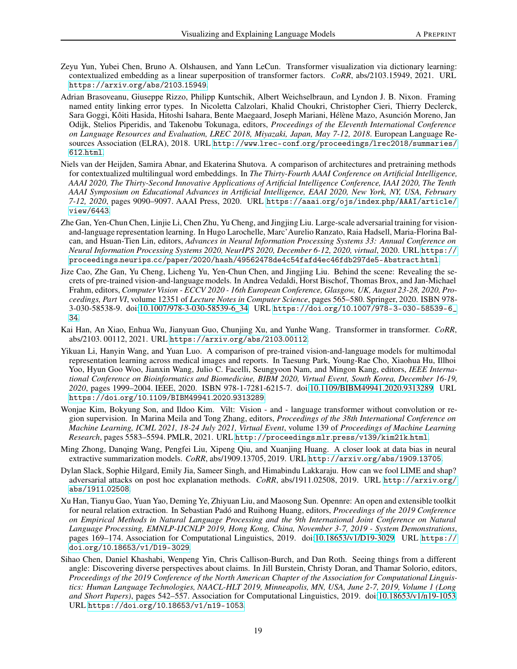- Zeyu Yun, Yubei Chen, Bruno A. Olshausen, and Yann LeCun. Transformer visualization via dictionary learning: contextualized embedding as a linear superposition of transformer factors. *CoRR*, abs/2103.15949, 2021. URL [https://arxiv](https://arxiv.org/abs/2103.15949).org/abs/2103.15949.
- Adrian Brasoveanu, Giuseppe Rizzo, Philipp Kuntschik, Albert Weichselbraun, and Lyndon J. B. Nixon. Framing named entity linking error types. In Nicoletta Calzolari, Khalid Choukri, Christopher Cieri, Thierry Declerck, Sara Goggi, Kôiti Hasida, Hitoshi Isahara, Bente Maegaard, Joseph Mariani, Hélène Mazo, Asunción Moreno, Jan Odijk, Stelios Piperidis, and Takenobu Tokunaga, editors, *Proceedings of the Eleventh International Conference on Language Resources and Evaluation, LREC 2018, Miyazaki, Japan, May 7-12, 2018*. European Language Resources Association (ELRA), 2018. URL http://www.lrec-conf.[org/proceedings/lrec2018/summaries/](http://www.lrec-conf.org/proceedings/lrec2018/summaries/612.html) 612.[html](http://www.lrec-conf.org/proceedings/lrec2018/summaries/612.html).
- Niels van der Heijden, Samira Abnar, and Ekaterina Shutova. A comparison of architectures and pretraining methods for contextualized multilingual word embeddings. In *The Thirty-Fourth AAAI Conference on Artificial Intelligence, AAAI 2020, The Thirty-Second Innovative Applications of Artificial Intelligence Conference, IAAI 2020, The Tenth AAAI Symposium on Educational Advances in Artificial Intelligence, EAAI 2020, New York, NY, USA, February 7-12, 2020*, pages 9090–9097. AAAI Press, 2020. URL https://aaai.org/ojs/index.[php/AAAI/article/](https://aaai.org/ojs/index.php/AAAI/article/view/6443) [view/6443](https://aaai.org/ojs/index.php/AAAI/article/view/6443).
- Zhe Gan, Yen-Chun Chen, Linjie Li, Chen Zhu, Yu Cheng, and Jingjing Liu. Large-scale adversarial training for visionand-language representation learning. In Hugo Larochelle, Marc'Aurelio Ranzato, Raia Hadsell, Maria-Florina Balcan, and Hsuan-Tien Lin, editors, *Advances in Neural Information Processing Systems 33: Annual Conference on Neural Information Processing Systems 2020, NeurIPS 2020, December 6-12, 2020, virtual*, 2020. URL [https://](https://proceedings.neurips.cc/paper/2020/hash/49562478de4c54fafd4ec46fdb297de5-Abstract.html) proceedings.neurips.[cc/paper/2020/hash/49562478de4c54fafd4ec46fdb297de5-Abstract](https://proceedings.neurips.cc/paper/2020/hash/49562478de4c54fafd4ec46fdb297de5-Abstract.html).html.
- Jize Cao, Zhe Gan, Yu Cheng, Licheng Yu, Yen-Chun Chen, and Jingjing Liu. Behind the scene: Revealing the secrets of pre-trained vision-and-language models. In Andrea Vedaldi, Horst Bischof, Thomas Brox, and Jan-Michael Frahm, editors, *Computer Vision - ECCV 2020 - 16th European Conference, Glasgow, UK, August 23-28, 2020, Proceedings, Part VI*, volume 12351 of *Lecture Notes in Computer Science*, pages 565–580. Springer, 2020. ISBN 978- 3-030-58538-9. doi[:10.1007/978-3-030-58539-6\\_34.](https://doi.org/10.1007/978-3-030-58539-6_34) URL https://doi.org/10.[1007/978-3-030-58539-6\\_](https://doi.org/10.1007/978-3-030-58539-6_34) [34](https://doi.org/10.1007/978-3-030-58539-6_34).
- Kai Han, An Xiao, Enhua Wu, Jianyuan Guo, Chunjing Xu, and Yunhe Wang. Transformer in transformer. *CoRR*, abs/2103. 00112, 2021. URL [https://arxiv](https://arxiv.org/abs/2103.00112).org/abs/2103.00112.
- Yikuan Li, Hanyin Wang, and Yuan Luo. A comparison of pre-trained vision-and-language models for multimodal representation learning across medical images and reports. In Taesung Park, Young-Rae Cho, Xiaohua Hu, Illhoi Yoo, Hyun Goo Woo, Jianxin Wang, Julio C. Facelli, Seungyoon Nam, and Mingon Kang, editors, *IEEE International Conference on Bioinformatics and Biomedicine, BIBM 2020, Virtual Event, South Korea, December 16-19, 2020*, pages 1999–2004. IEEE, 2020. ISBN 978-1-7281-6215-7. doi[:10.1109/BIBM49941.2020.9313289.](https://doi.org/10.1109/BIBM49941.2020.9313289) URL https://doi.org/10.[1109/BIBM49941](https://doi.org/10.1109/BIBM49941.2020.9313289).2020.9313289.
- Wonjae Kim, Bokyung Son, and Ildoo Kim. Vilt: Vision and language transformer without convolution or region supervision. In Marina Meila and Tong Zhang, editors, *Proceedings of the 38th International Conference on Machine Learning, ICML 2021, 18-24 July 2021, Virtual Event*, volume 139 of *Proceedings of Machine Learning Research*, pages 5583–5594. PMLR, 2021. URL [http://proceedings](http://proceedings.mlr.press/v139/kim21k.html).mlr.press/v139/kim21k.html.
- Ming Zhong, Danqing Wang, Pengfei Liu, Xipeng Qiu, and Xuanjing Huang. A closer look at data bias in neural extractive summarization models. *CoRR*, abs/1909.13705, 2019. URL http://arxiv.[org/abs/1909](http://arxiv.org/abs/1909.13705).13705.
- Dylan Slack, Sophie Hilgard, Emily Jia, Sameer Singh, and Himabindu Lakkaraju. How can we fool LIME and shap? adversarial attacks on post hoc explanation methods. *CoRR*, abs/1911.02508, 2019. URL [http://arxiv](http://arxiv.org/abs/1911.02508).org/ [abs/1911](http://arxiv.org/abs/1911.02508).02508.
- Xu Han, Tianyu Gao, Yuan Yao, Deming Ye, Zhiyuan Liu, and Maosong Sun. Opennre: An open and extensible toolkit for neural relation extraction. In Sebastian Padó and Ruihong Huang, editors, *Proceedings of the 2019 Conference on Empirical Methods in Natural Language Processing and the 9th International Joint Conference on Natural Language Processing, EMNLP-IJCNLP 2019, Hong Kong, China, November 3-7, 2019 - System Demonstrations*, pages 169–174. Association for Computational Linguistics, 2019. doi[:10.18653/v1/D19-3029.](https://doi.org/10.18653/v1/D19-3029) URL [https://](https://doi.org/10.18653/v1/D19-3029) doi.org/10.[18653/v1/D19-3029](https://doi.org/10.18653/v1/D19-3029).
- Sihao Chen, Daniel Khashabi, Wenpeng Yin, Chris Callison-Burch, and Dan Roth. Seeing things from a different angle: Discovering diverse perspectives about claims. In Jill Burstein, Christy Doran, and Thamar Solorio, editors, *Proceedings of the 2019 Conference of the North American Chapter of the Association for Computational Linguistics: Human Language Technologies, NAACL-HLT 2019, Minneapolis, MN, USA, June 2-7, 2019, Volume 1 (Long and Short Papers)*, pages 542–557. Association for Computational Linguistics, 2019. doi[:10.18653/v1/n19-1053.](https://doi.org/10.18653/v1/n19-1053) URL https://doi.org/10.[18653/v1/n19-1053](https://doi.org/10.18653/v1/n19-1053).